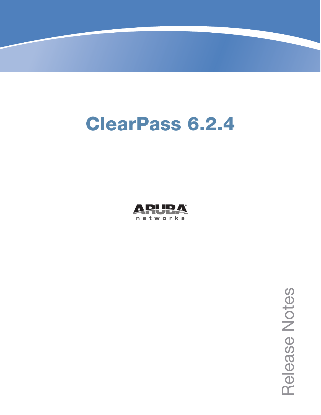# **ClearPass 6.2.4**



Release<br>Notes Release Notes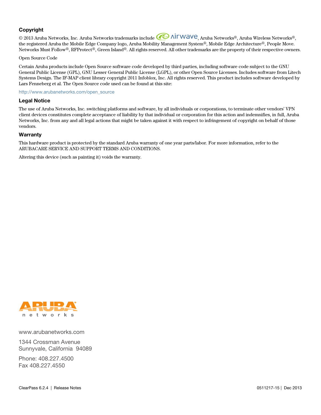#### **Copyright**

© 2013 Aruba Networks, Inc. Aruba Networks trademarks include <a>
O AITWAVE, Aruba Networks®, Aruba Wireless Networks®, the registered Aruba the Mobile Edge Company logo, Aruba Mobility Management System®, Mobile Edge Architecture®, People Move. Networks Must Follow<sup>®</sup>, RFProtect<sup>®</sup>, Green Island®. All rights reserved. All other trademarks are the property of their respective owners.

#### Open Source Code

Certain Aruba products include Open Source software code developed by third parties, including software code subject to the GNU General Public License (GPL), GNU Lesser General Public License (LGPL), or other Open Source Licenses. Includes software from Litech Systems Design. The IF-MAP client library copyright 2011 Infoblox, Inc. All rights reserved. This product includes software developed by Lars Fenneberg et al. The Open Source code used can be found at this site:

#### http://www.arubanetworks.com/open\_source

#### **Legal Notice**

The use of Aruba Networks, Inc. switching platforms and software, by all individuals or corporations, to terminate other vendors' VPN client devices constitutes complete acceptance of liability by that individual or corporation for this action and indemnifies, in full, Aruba Networks, Inc. from any and all legal actions that might be taken against it with respect to infringement of copyright on behalf of those vendors.

#### **Warranty**

This hardware product is protected by the standard Aruba warranty of one year parts/labor. For more information, refer to the ARUBACARE SERVICE AND SUPPORT TERMS AND CONDITIONS.

Altering this device (such as painting it) voids the warranty.



www.arubanetworks.com

1344 Crossman Avenue Sunnyvale, California 94089

Phone: 408.227.4500 Fax 408.227.4550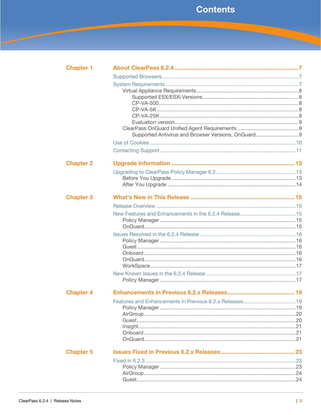| <b>Chapter 1</b> |                                                    |  |
|------------------|----------------------------------------------------|--|
|                  |                                                    |  |
|                  |                                                    |  |
|                  |                                                    |  |
|                  |                                                    |  |
|                  |                                                    |  |
|                  |                                                    |  |
|                  |                                                    |  |
|                  |                                                    |  |
|                  | Supported Antivirus and Browser Versions, OnGuard9 |  |
|                  |                                                    |  |
|                  |                                                    |  |
| <b>Chapter 2</b> |                                                    |  |
|                  |                                                    |  |
|                  |                                                    |  |
|                  |                                                    |  |
| <b>Chapter 3</b> |                                                    |  |
|                  |                                                    |  |
|                  |                                                    |  |
|                  |                                                    |  |
|                  |                                                    |  |
|                  |                                                    |  |
|                  |                                                    |  |
|                  |                                                    |  |
|                  |                                                    |  |
|                  |                                                    |  |
|                  |                                                    |  |
|                  |                                                    |  |
| <b>Chapter 4</b> |                                                    |  |
|                  |                                                    |  |
|                  |                                                    |  |
|                  |                                                    |  |
|                  |                                                    |  |
|                  |                                                    |  |
|                  |                                                    |  |
|                  |                                                    |  |
| <b>Chapter 5</b> |                                                    |  |
|                  |                                                    |  |
|                  |                                                    |  |
|                  |                                                    |  |
|                  |                                                    |  |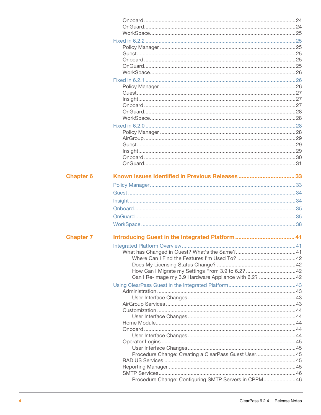| <b>Chapter 6</b> |                                                       |  |
|------------------|-------------------------------------------------------|--|
|                  |                                                       |  |
|                  |                                                       |  |
|                  |                                                       |  |
|                  |                                                       |  |
|                  |                                                       |  |
|                  |                                                       |  |
|                  |                                                       |  |
| <b>Chapter 7</b> |                                                       |  |
|                  |                                                       |  |
|                  |                                                       |  |
|                  |                                                       |  |
|                  |                                                       |  |
|                  | Can I Re-Image my 3.9 Hardware Appliance with 6.2? 42 |  |
|                  |                                                       |  |
|                  |                                                       |  |
|                  |                                                       |  |
|                  |                                                       |  |
|                  |                                                       |  |
|                  |                                                       |  |
|                  |                                                       |  |
|                  |                                                       |  |
|                  |                                                       |  |
|                  |                                                       |  |
|                  |                                                       |  |
|                  | Procedure Change: Creating a ClearPass Guest User 45  |  |
|                  |                                                       |  |
|                  |                                                       |  |
|                  | Procedure Change: Configuring SMTP Servers in CPPM 46 |  |
|                  |                                                       |  |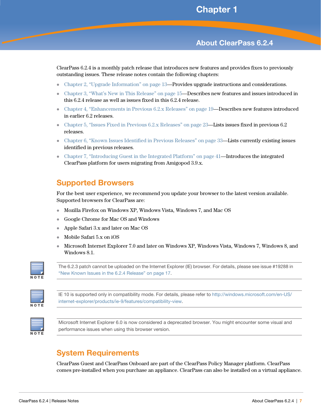# <span id="page-6-0"></span>**Chapter 1**

# <span id="page-6-4"></span><span id="page-6-1"></span>**About ClearPass 6.2.4**

ClearPass 6.2.4 is a monthly patch release that introduces new features and provides fixes to previously outstanding issues. These release notes contain the following chapters:

- [Chapter 2, "Upgrade Information" on page 13—](#page-12-4)**Provides upgrade instructions and considerations.**
- [Chapter 3, "What's New in This Release" on page 15](#page-14-6)—Describes new features and issues introduced in this 6.2.4 release as well as issues fixed in this 6.2.4 release.
- [Chapter 4, "Enhancements in Previous 6.2.x Releases" on page 19](#page-18-4)—Describes new features introduced in earlier 6.2 releases.
- Chapter 5, "Issues Fixed in Previous  $6.2 \text{ x}$  Releases" on page  $23$ —Lists issues fixed in previous  $6.2$ releases.
- [Chapter 6, "Known Issues Identified in Previous Releases" on page 33—](#page-32-3)Lists currently existing issues identified in previous releases.
- [Chapter 7, "Introducing Guest in the Integrated Platform" on page 41](#page-40-4)—Introduces the integrated ClearPass platform for users migrating from Amigopod 3.9.x.

# <span id="page-6-2"></span>**Supported Browsers**

For the best user experience, we recommend you update your browser to the latest version available. Supported browsers for ClearPass are:

- Mozilla Firefox on Windows XP, Windows Vista, Windows 7, and Mac OS
- Google Chrome for Mac OS and Windows
- Apple Safari 3.x and later on Mac OS
- Mobile Safari 5.x on iOS
- Microsoft Internet Explorer 7.0 and later on Windows XP, Windows Vista, Windows 7, Windows 8, and Windows 8.1.



The 6.2.3 patch cannot be uploaded on the Internet Explorer (IE) browser. For details, please see issue #19288 in ["New Known Issues in the 6.2.4 Release" on page 17](#page-16-3).



[IE 10 is supported only in compatibility mode. For details, please refer to h](http://windows.microsoft.com/en-US/internet-explorer/products/ie-9/features/compatibility-view)ttp://windows.microsoft.com/en-US/ internet-explorer/products/ie-9/features/compatibility-view.



Microsoft Internet Explorer 6.0 is now considered a deprecated browser. You might encounter some visual and performance issues when using this browser version.

# <span id="page-6-3"></span>**System Requirements**

ClearPass Guest and ClearPass Onboard are part of the ClearPass Policy Manager platform. ClearPass comes pre-installed when you purchase an appliance. ClearPass can also be installed on a virtual appliance.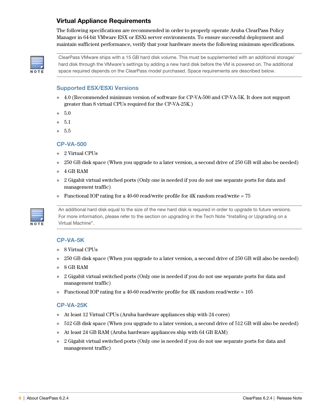### <span id="page-7-0"></span>**Virtual Appliance Requirements**

The following specifications are recommended in order to properly operate Aruba ClearPass Policy Manager in 64-bit VMware ESX or ESXi server environments. To ensure successful deployment and maintain sufficient performance, verify that your hardware meets the following minimum specifications.



ClearPass VMware ships with a 15 GB hard disk volume. This must be supplemented with an additional storage/ hard disk through the VMware's settings by adding a new hard disk before the VM is powered on. The additional space required depends on the ClearPass model purchased. Space requirements are described below.

#### <span id="page-7-1"></span>**Supported ESX/ESXi Versions**

- 4.0 (Recommended minimum version of software for CP-VA-500 and CP-VA-5K. It does not support greater than 8 virtual CPUs required for the CP-VA-25K.)
- 5.0
- 5.1
- 5.5

#### <span id="page-7-2"></span>**CP-VA-500**

- 2 Virtual CPUs
- 250 GB disk space (When you upgrade to a later version, a second drive of 250 GB will also be needed)
- 4 GB RAM
- 2 Gigabit virtual switched ports (Only one is needed if you do not use separate ports for data and management traffic)
- Functional IOP rating for a 40-60 read/write profile for 4K random read/write =  $75$



An additional hard disk equal to the size of the new hard disk is required in order to upgrade to future versions. For more information, please refer to the section on upgrading in the Tech Note "Installing or Upgrading on a Virtual Machine".

#### <span id="page-7-3"></span>**CP-VA-5K**

- 8 Virtual CPUs
- 250 GB disk space (When you upgrade to a later version, a second drive of 250 GB will also be needed)
- 8 GB RAM
- 2 Gigabit virtual switched ports (Only one is needed if you do not use separate ports for data and management traffic)
- Functional IOP rating for a 40-60 read/write profile for 4K random read/write =  $105$

#### <span id="page-7-4"></span>**CP-VA-25K**

- At least 12 Virtual CPUs (Aruba hardware appliances ship with 24 cores)
- 512 GB disk space (When you upgrade to a later version, a second drive of 512 GB will also be needed)
- At least 24 GB RAM (Aruba hardware appliances ship with 64 GB RAM)
- 2 Gigabit virtual switched ports (Only one is needed if you do not use separate ports for data and management traffic)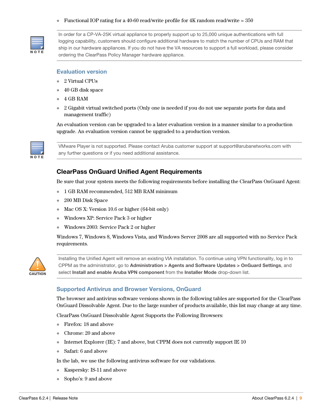#### Functional IOP rating for a 40-60 read/write profile for 4K random read/write =  $350$



In order for a CP-VA-25K virtual appliance to properly support up to 25,000 unique authentications with full logging capability, customers should configure additional hardware to match the number of CPUs and RAM that ship in our hardware appliances. If you do not have the VA resources to support a full workload, please consider ordering the ClearPass Policy Manager hardware appliance.

#### <span id="page-8-0"></span>**Evaluation version**

- 2 Virtual CPUs
- 40 GB disk space
- 4 GB RAM
- 2 Gigabit virtual switched ports (Only one is needed if you do not use separate ports for data and management traffic)

An evaluation version can be upgraded to a later evaluation version in a manner similar to a production upgrade. An evaluation version cannot be upgraded to a production version.



VMware Player is not supported. Please contact Aruba customer support at support@arubanetworks.com with any further questions or if you need additional assistance.

#### <span id="page-8-3"></span><span id="page-8-1"></span>**ClearPass OnGuard Unified Agent Requirements**

Be sure that your system meets the following requirements before installing the ClearPass OnGuard Agent:

- 1 GB RAM recommended, 512 MB RAM minimum
- 200 MB Disk Space
- Mac OS X: Version 10.6 or higher (64-bit only)
- Windows XP: Service Pack 3 or higher
- Windows 2003: Service Pack 2 or higher

Windows 7, Windows 8, Windows Vista, and Windows Server 2008 are all supported with no Service Pack requirements.



Installing the Unified Agent will remove an existing VIA installation. To continue using VPN functionality, log in to CPPM as the administrator, go to **Administration > Agents and Software Updates > OnGuard Settings**, and select **Install and enable Aruba VPN component** from the **Installer Mode** drop-down list.

#### <span id="page-8-2"></span>**Supported Antivirus and Browser Versions, OnGuard**

The browser and antivirus software versions shown in the following tables are supported for the ClearPass OnGuard Dissolvable Agent. Due to the large number of products available, this list may change at any time.

ClearPass OnGuard Dissolvable Agent Supports the Following Browsers:

- Firefox: 18 and above
- Chrome: 20 and above
- Internet Explorer (IE): 7 and above, but CPPM does not currently support IE 10
- Safari: 6 and above

In the lab, we use the following antivirus software for our validations.

- Kaspersky: IS-11 and above
- Sopho's: 9 and above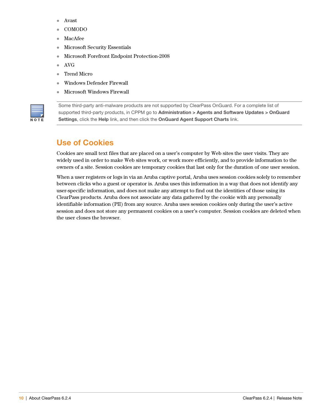- Avast
- COMODO
- MacAfee
- Microsoft Security Essentials
- Microsoft Forefront Endpoint Protection-2008
- AVG
- Trend Micro
- Windows Defender Firewall
- Microsoft Windows Firewall



Some third-party anti-malware products are not supported by ClearPass OnGuard. For a complete list of supported third-party products, in CPPM go to **Administration > Agents and Software Updates > OnGuard Settings**, click the **Help** link, and then click the **OnGuard Agent Support Charts** link.

# <span id="page-9-0"></span>**Use of Cookies**

Cookies are small text files that are placed on a user's computer by Web sites the user visits. They are widely used in order to make Web sites work, or work more efficiently, and to provide information to the owners of a site. Session cookies are temporary cookies that last only for the duration of one user session.

When a user registers or logs in via an Aruba captive portal, Aruba uses session cookies solely to remember between clicks who a guest or operator is. Aruba uses this information in a way that does not identify any user-specific information, and does not make any attempt to find out the identities of those using its ClearPass products. Aruba does not associate any data gathered by the cookie with any personally identifiable information (PII) from any source. Aruba uses session cookies only during the user's active session and does not store any permanent cookies on a user's computer. Session cookies are deleted when the user closes the browser.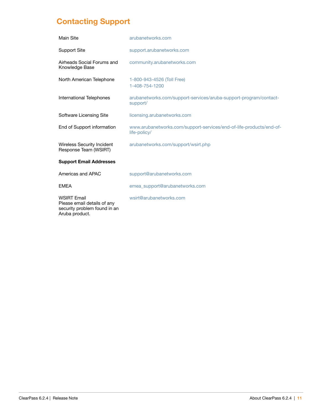# <span id="page-10-0"></span>**Contacting Support**

| Main Site                                                                                           | arubanetworks.com                                                                   |
|-----------------------------------------------------------------------------------------------------|-------------------------------------------------------------------------------------|
| <b>Support Site</b>                                                                                 | support.arubanetworks.com                                                           |
| Airheads Social Forums and<br>Knowledge Base                                                        | community.arubanetworks.com                                                         |
| North American Telephone                                                                            | 1-800-943-4526 (Toll Free)<br>1-408-754-1200                                        |
| International Telephones                                                                            | arubanetworks.com/support-services/aruba-support-program/contact-<br>support/       |
| Software Licensing Site                                                                             | licensing.arubanetworks.com                                                         |
| End of Support information                                                                          | www.arubanetworks.com/support-services/end-of-life-products/end-of-<br>life-policy/ |
| <b>Wireless Security Incident</b><br>Response Team (WSIRT)                                          | arubanetworks.com/support/wsirt.php                                                 |
| <b>Support Email Addresses</b>                                                                      |                                                                                     |
| Americas and APAC                                                                                   | support@arubanetworks.com                                                           |
| <b>EMEA</b>                                                                                         | emea_support@arubanetworks.com                                                      |
| <b>WSIRT Email</b><br>Please email details of any<br>security problem found in an<br>Aruba product. | wsirt@arubanetworks.com                                                             |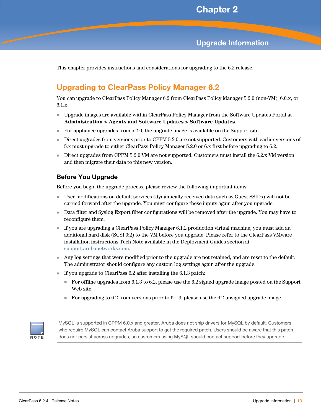# <span id="page-12-4"></span><span id="page-12-1"></span><span id="page-12-0"></span>**Upgrade Information**

This chapter provides instructions and considerations for upgrading to the 6.2 release.

# <span id="page-12-2"></span>**Upgrading to ClearPass Policy Manager 6.2**

You can upgrade to ClearPass Policy Manager 6.2 from ClearPass Policy Manager 5.2.0 (non-VM), 6.0.x, or 6.1.x.

- Upgrade images are available within ClearPass Policy Manager from the Software Updates Portal at **Administration > Agents and Software Updates > Software Updates**.
- For appliance upgrades from  $5.2.0$ , the upgrade image is available on the Support site.
- Direct upgrades from versions prior to CPPM 5.2.0 are not supported. Customers with earlier versions of 5.x must upgrade to either ClearPass Policy Manager 5.2.0 or 6.x first before upgrading to 6.2.
- Direct upgrades from CPPM 5.2.0 VM are not supported. Customers must install the 6.2.x VM version and then migrate their data to this new version.

#### <span id="page-12-3"></span>**Before You Upgrade**

Before you begin the upgrade process, please review the following important items:

- User modifications on default services (dynamically received data such as Guest SSIDs) will not be carried forward after the upgrade. You must configure these inputs again after you upgrade.
- Data filter and Syslog Export filter configurations will be removed after the upgrade. You may have to reconfigure them.
- If you are upgrading a ClearPass Policy Manager 6.1.2 production virtual machine, you must add an additional hard disk (SCSI 0:2) to the VM before you upgrade. Please refer to the ClearPass VMware installation instructions Tech Note available in the Deployment Guides section at support.arubanetworks.com.
- Any log settings that were modified prior to the upgrade are not retained, and are reset to the default. The administrator should configure any custom log settings again after the upgrade.
- If you upgrade to ClearPass 6.2 after installing the 6.1.3 patch:
	- For offline upgrades from 6.1.3 to 6.2, please use the 6.2 signed upgrade image posted on the Support Web site.
	- For upgrading to 6.2 from versions  $prior$  to 6.1.3, please use the 6.2 unsigned upgrade image.



MySQL is supported in CPPM 6.0.x and greater. Aruba does not ship drivers for MySQL by default. Customers who require MySQL can contact Aruba support to get the required patch. Users should be aware that this patch does not persist across upgrades, so customers using MySQL should contact support before they upgrade.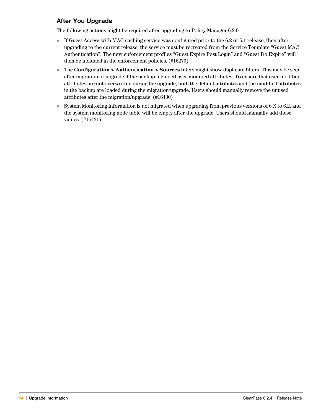# <span id="page-13-0"></span>**After You Upgrade**

The following actions might be required after upgrading to Policy Manager 6.2.0:

- If Guest Access with MAC caching service was configured prior to the 6.2 or 6.1 release, then after upgrading to the current release, the service must be recreated from the Service Template "Guest MAC Authentication". The new enforcement profiles "Guest Expire Post Login" and "Guest Do Expire" will then be included in the enforcement policies. (#16270)
- The **Configuration > Authentication > Sources** filters might show duplicate filters. This may be seen after migration or upgrade if the backup included user-modified attributes. To ensure that user-modified attributes are not overwritten during the upgrade, both the default attributes and the modified attributes in the backup are loaded during the migration/upgrade. Users should manually remove the unused attributes after the migration/upgrade. (#16430)
- System Monitoring Information is not migrated when upgrading from previous versions of 6.X to 6.2, and the system monitoring node table will be empty after the upgrade. Users should manually add these values. (#16431)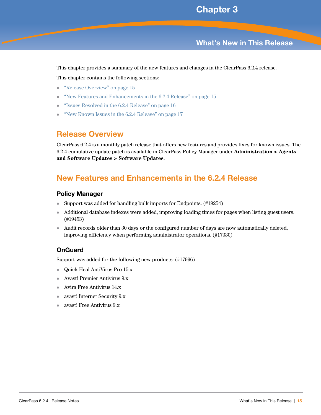# <span id="page-14-6"></span><span id="page-14-1"></span><span id="page-14-0"></span>**What's New in This Release**

This chapter provides a summary of the new features and changes in the ClearPass 6.2.4 release.

This chapter contains the following sections:

- ["Release Overview" on page 15](#page-14-2)
- ["New Features and Enhancements in the 6.2.4 Release" on page 15](#page-14-3)
- ["Issues Resolved in the 6.2.4 Release" on page 16](#page-15-0)
- ["New Known Issues in the 6.2.4 Release" on page 17](#page-16-1)

# <span id="page-14-2"></span>**Release Overview**

ClearPass 6.2.4 is a monthly patch release that offers new features and provides fixes for known issues. The 6.2.4 cumulative update patch is available in ClearPass Policy Manager under **Administration > Agents and Software Updates > Software Updates**.

# <span id="page-14-3"></span>**New Features and Enhancements in the 6.2.4 Release**

#### <span id="page-14-4"></span>**Policy Manager**

- Support was added for handling bulk imports for Endpoints. (#19254)
- Additional database indexes were added, improving loading times for pages when listing guest users. (#19453)
- Audit records older than 30 days or the configured number of days are now automatically deleted, improving efficiency when performing administrator operations. (#17330)

#### <span id="page-14-5"></span>**OnGuard**

Support was added for the following new products: (#17996)

- Quick Heal AntiVirus Pro 15.x
- Avast! Premier Antivirus 9.x
- Avira Free Antivirus 14.x
- avast! Internet Security 9.x
- avast! Free Antivirus 9.x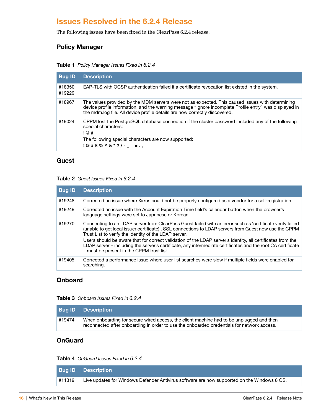# <span id="page-15-0"></span>**Issues Resolved in the 6.2.4 Release**

The following issues have been fixed in the ClearPass 6.2.4 release.

# <span id="page-15-1"></span>**Policy Manager**

|  | Table 1 Policy Manager Issues Fixed in 6.2.4 |  |
|--|----------------------------------------------|--|
|--|----------------------------------------------|--|

| <b>Bug ID</b>    | <b>Description</b>                                                                                                                                                                                                                                                                       |
|------------------|------------------------------------------------------------------------------------------------------------------------------------------------------------------------------------------------------------------------------------------------------------------------------------------|
| #18350<br>#19229 | EAP-TLS with OCSP authentication failed if a certificate revocation list existed in the system.                                                                                                                                                                                          |
| #18967           | The values provided by the MDM servers were not as expected. This caused issues with determining<br>device profile information, and the warning message "Ignore incomplete Profile entry" was displayed in<br>the mdm.log file. All device profile details are now correctly discovered. |
| #19024           | CPPM lost the PostgreSQL database connection if the cluster password included any of the following<br>special characters:<br>!@#<br>The following special characters are now supported:<br>$!@#$%^0@*?/- _+ = .$                                                                         |

#### <span id="page-15-2"></span>**Guest**

#### **Table 2** Guest Issues Fixed in 6.2.4

| <b>Bug ID</b> | <b>Description</b>                                                                                                                                                                                                                                                           |
|---------------|------------------------------------------------------------------------------------------------------------------------------------------------------------------------------------------------------------------------------------------------------------------------------|
| #19248        | Corrected an issue where Xirrus could not be properly configured as a vendor for a self-registration.                                                                                                                                                                        |
| #19249        | Corrected an issue with the Account Expiration Time field's calendar button when the browser's<br>language settings were set to Japanese or Korean.                                                                                                                          |
| #19270        | Connecting to an LDAP server from ClearPass Guest failed with an error such as 'certificate verify failed<br>(unable to get local issuer certificate)'. SSL connections to LDAP servers from Guest now use the CPPM<br>Trust List to verify the identity of the LDAP server. |
|               | Users should be aware that for correct validation of the LDAP server's identity, all certificates from the<br>LDAP server – including the server's certificate, any intermediate certificates and the root CA certificate<br>- must be present in the CPPM trust list.       |
| #19405        | Corrected a performance issue where user-list searches were slow if multiple fields were enabled for<br>searching.                                                                                                                                                           |

### <span id="page-15-3"></span>**Onboard**

**Table 3** Onboard Issues Fixed in 6.2.4

|        | <b>Bug ID Description</b>                                                                                                                                                              |
|--------|----------------------------------------------------------------------------------------------------------------------------------------------------------------------------------------|
| #19474 | When onboarding for secure wired access, the client machine had to be unplugged and then<br>reconnected after onboarding in order to use the onboarded credentials for network access. |

### <span id="page-15-4"></span>**OnGuard**

#### **Table 4** OnGuard Issues Fixed in 6.2.4

|        | <b>Bug ID Description</b>                                                                   |
|--------|---------------------------------------------------------------------------------------------|
| #11319 | Live updates for Windows Defender Antivirus software are now supported on the Windows 8 OS. |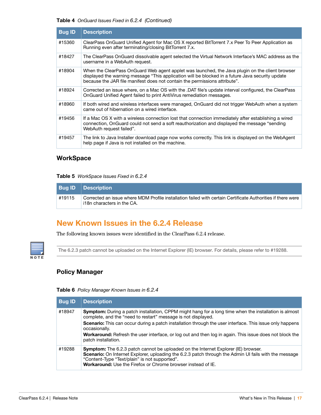#### **Table 4** OnGuard Issues Fixed in 6.2.4 (Continued)

| <b>Bug ID</b> | <b>Description</b>                                                                                                                                                                                                                                                                |
|---------------|-----------------------------------------------------------------------------------------------------------------------------------------------------------------------------------------------------------------------------------------------------------------------------------|
| #15360        | ClearPass OnGuard Unified Agent for Mac OS X reported BitTorrent 7.x Peer To Peer Application as<br>Running even after terminating/closing BitTorrent 7.x.                                                                                                                        |
| #18427        | The ClearPass OnGuard dissolvable agent selected the Virtual Network Interface's MAC address as the<br>username in a WebAuth request.                                                                                                                                             |
| #18904        | When the ClearPass OnGuard Web agent applet was launched, the Java plugin on the client browser<br>displayed the warning message "This application will be blocked in a future Java security update<br>because the JAR file manifest does not contain the permissions attribute". |
| #18924        | Corrected an issue where, on a Mac OS with the .DAT file's update interval configured, the ClearPass<br>OnGuard Unified Agent failed to print AntiVirus remediation messages.                                                                                                     |
| #18960        | If both wired and wireless interfaces were managed, OnGuard did not trigger WebAuth when a system<br>came out of hibernation on a wired interface.                                                                                                                                |
| #19456        | If a Mac OS X with a wireless connection lost that connection immediately after establishing a wired<br>connection, OnGuard could not send a soft reauthorization and displayed the message "sending<br>WebAuth request failed".                                                  |
| #19457        | The link to Java Installer download page now works correctly. This link is displayed on the WebAgent<br>help page if Java is not installed on the machine.                                                                                                                        |

### <span id="page-16-0"></span>**WorkSpace**

#### **Table 5** WorkSpace Issues Fixed in 6.2.4

|        | <b>Bug ID Description</b>                                                                                                                 |
|--------|-------------------------------------------------------------------------------------------------------------------------------------------|
| #19115 | Corrected an issue where MDM Profile installation failed with certain Certificate Authorities if there were<br>i18n characters in the CA. |

# <span id="page-16-3"></span><span id="page-16-1"></span>**New Known Issues in the 6.2.4 Release**

The following known issues were identified in the ClearPass 6.2.4 release.



The 6.2.3 patch cannot be uploaded on the Internet Explorer (IE) browser. For details, please refer to #19288.

#### <span id="page-16-2"></span>**Policy Manager**

#### **Table 6** Policy Manager Known Issues in 6.2.4

| <b>Bug ID</b> | <b>Description</b>                                                                                                                                                                                                                                                                                                         |
|---------------|----------------------------------------------------------------------------------------------------------------------------------------------------------------------------------------------------------------------------------------------------------------------------------------------------------------------------|
| #18947        | <b>Symptom:</b> During a patch installation, CPPM might hang for a long time when the installation is almost<br>complete, and the "need to restart" message is not displayed.                                                                                                                                              |
|               | <b>Scenario:</b> This can occur during a patch installation through the user interface. This issue only happens<br>occasionally.                                                                                                                                                                                           |
|               | Workaround: Refresh the user interface, or log out and then log in again. This issue does not block the<br>patch installation.                                                                                                                                                                                             |
| #19288        | <b>Symptom:</b> The 6.2.3 patch cannot be uploaded on the Internet Explorer (IE) browser.<br>Scenario: On Internet Explorer, uploading the 6.2.3 patch through the Admin UI fails with the message<br>"Content-Type "Text/plain" is not supported".<br><b>Workaround:</b> Use the Firefox or Chrome browser instead of IE. |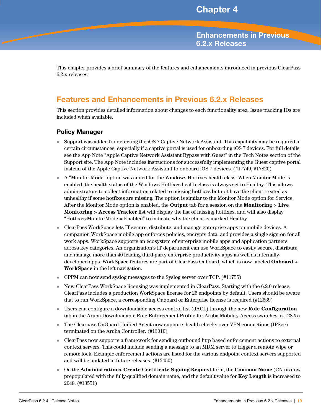<span id="page-18-4"></span><span id="page-18-1"></span><span id="page-18-0"></span>**Enhancements in Previous 6.2.x Releases**

This chapter provides a brief summary of the features and enhancements introduced in previous ClearPass 6.2.x releases.

# <span id="page-18-2"></span>**Features and Enhancements in Previous 6.2.x Releases**

This section provides detailed information about changes to each functionality area. Issue tracking IDs are included when available.

#### <span id="page-18-3"></span>**Policy Manager**

- Support was added for detecting the iOS 7 Captive Network Assistant. This capability may be required in certain circumstances, especially if a captive portal is used for onboarding iOS 7 devices. For full details, see the App Note "Apple Captive Network Assistant Bypass with Guest" in the Tech Notes section of the Support site. The App Note includes instructions for successfully implementing the Guest captive portal instead of the Apple Captive Network Assistant to onboard iOS 7 devices. (#17749, #17820)
- A "Monitor Mode" option was added for the Windows Hotfixes health class. When Monitor Mode is enabled, the health status of the Windows Hotfixes health class is always set to Healthy. This allows administrators to collect information related to missing hotfixes but not have the client treated as unhealthy if some hotfixes are missing. The option is similar to the Monitor Mode option for Service. After the Monitor Mode option is enabled, the **Output** tab for a session on the **Monitoring > Live Monitoring > Access Tracker** list will display the list of missing hotfixes, and will also display "Hotfixes:MonitorMode = Enabled" to indicate why the client is marked Healthy.
- ClearPass WorkSpace lets IT secure, distribute, and manage enterprise apps on mobile devices. A companion WorkSpace mobile app enforces policies, encrypts data, and provides a single sign-on for all work apps. WorkSpace supports an ecosystem of enterprise mobile apps and application partners across key categories. An organization's IT department can use WorkSpace to easily secure, distribute, and manage more than 40 leading third-party enterprise productivity apps as well as internallydeveloped apps. WorkSpace features are part of ClearPass Onboard, which is now labeled **Onboard + WorkSpace** in the left navigation.
- CPPM can now send syslog messages to the Syslog server over TCP. (#11755)
- New ClearPass WorkSpace licensing was implemented in ClearPass. Starting with the 6.2.0 release, ClearPass includes a production WorkSpace license for 25 endpoints by default. Users should be aware that to run WorkSpace, a corresponding Onboard or Enterprise license is required.(#12639)
- Users can configure a downloadable access control list (dACL) through the new **Role Configuration** tab in the Aruba Downloadable Role Enforcement Profile for Aruba Mobility Access switches. (#12825)
- The Clearpass OnGuard Unified Agent now supports health checks over VPN connections (IPSec) terminated on the Aruba Controller. (#13010)
- ClearPass now supports a framework for sending outbound http based enforcement actions to external context servers. This could include sending a message to an MDM server to trigger a remote wipe or remote lock. Example enforcement actions are listed for the various endpoint context servers supported and will be updated in future releases. (#13450)
- On the **Administration> Create Certificate Signing Request** form, the **Common Name** (CN) is now prepopulated with the fully-qualified domain name, and the default value for **Key Length** is increased to 2048. (#13551)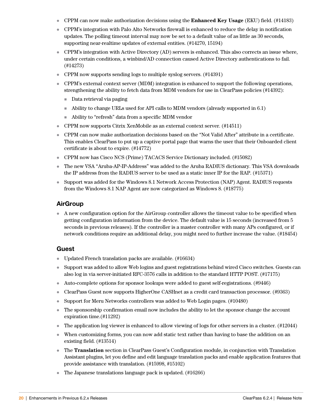- CPPM can now make authorization decisions using the **Enhanced Key Usage** (EKU) field. (#14183)
- CPPM's integration with Palo Alto Networks firewall is enhanced to reduce the delay in notification updates. The polling timeout interval may now be set to a default value of as little as 30 seconds, supporting near-realtime updates of external entities. (#14270, 15194)
- CPPM's integration with Active Directory (AD) servers is enhanced. This also corrects an issue where, under certain conditions, a winbind/AD connection caused Active Directory authentications to fail. (#14273)
- CPPM now supports sending logs to multiple syslog servers. (#14391)
- CPPM's external context server (MDM) integration is enhanced to support the following operations, strengthening the ability to fetch data from MDM vendors for use in ClearPass policies (#14392):
	- Data retrieval via paging
	- Ability to change URLs used for API calls to MDM vendors (already supported in 6.1)
	- Ability to "refresh" data from a specific MDM vendor
- CPPM now supports Citrix XenMobile as an external context server. (#14511)
- CPPM can now make authorization decisions based on the "Not Valid After" attribute in a certificate. This enables ClearPass to put up a captive portal page that warns the user that their Onboarded client certificate is about to expire. (#14772)
- CPPM now has Cisco NCS (Prime) TACACS Service Dictionary included. (#15082)
- The new VSA "Aruba-AP-IP-Address" was added to the Aruba RADIUS dictionary. This VSA downloads the IP address from the RADIUS server to be used as a static inner IP for the RAP. (#15371)
- Support was added for the Windows 8.1 Network Access Protection (NAP) Agent. RADIUS requests from the Windows 8.1 NAP Agent are now categorized as Windows 8. (#18775)

#### <span id="page-19-0"></span>**AirGroup**

 A new configuration option for the AirGroup controller allows the timeout value to be specified when getting configuration information from the device. The default value is 15 seconds (increased from 5 seconds in previous releases). If the controller is a master controller with many APs configured, or if network conditions require an additional delay, you might need to further increase the value. (#18454)

#### <span id="page-19-1"></span>**Guest**

- Updated French translation packs are available. (#16634)
- Support was added to allow Web logins and guest registrations behind wired Cisco switches. Guests can also log in via server-initiated RFC-3576 calls in addition to the standard HTTP POST. (#17175)
- Auto-complete options for sponsor lookups were added to guest self-registrations. (#9446)
- ClearPass Guest now supports HigherOne CASHnet as a credit card transaction processor. (#9363)
- Support for Meru Networks controllers was added to Web Login pages. (#10480)
- The sponsorship confirmation email now includes the ability to let the sponsor change the account expiration time.(#11292)
- The application log viewer is enhanced to allow viewing of logs for other servers in a cluster. (#12044)
- When customizing forms, you can now add static text rather than having to base the addition on an existing field. (#13514)
- The **Translation** section in ClearPass Guest's Configuration module, in conjunction with Translation Assistant plugins, let you define and edit language translation packs and enable application features that provide assistance with translation. (#15998, #15102)
- The Japanese translations language pack is updated. (#16266)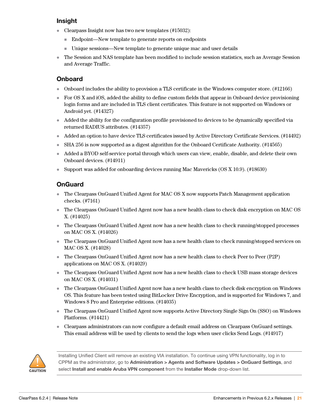### <span id="page-20-0"></span>**Insight**

- Clearpass Insight now has two new templates (#15032):
	- Endpoint—New template to generate reports on endpoints
	- Unique sessions—New template to generate unique mac and user details
- The Session and NAS template has been modified to include session statistics, such as Average Session and Average Traffic.

# <span id="page-20-1"></span>**Onboard**

- Onboard includes the ability to provision a TLS certificate in the Windows computer store. (#12166)
- For OS X and iOS, added the ability to define custom fields that appear in Onboard device provisioning login forms and are included in TLS client certificates. This feature is not supported on Windows or Android yet. (#14327)
- Added the ability for the configuration profile provisioned to devices to be dynamically specified via returned RADIUS attributes. (#14357)
- Added an option to have device TLS certificates issued by Active Directory Certificate Services. (#14492)
- SHA 256 is now supported as a digest algorithm for the Onboard Certificate Authority. (#14565)
- Added a BYOD self-service portal through which users can view, enable, disable, and delete their own Onboard devices. (#14911)
- Support was added for onboarding devices running Mac Mavericks (OS X 10.9). (#18630)

### <span id="page-20-2"></span>**OnGuard**

- The Clearpass OnGuard Unified Agent for MAC OS X now supports Patch Management application checks. (#7161)
- The Clearpass OnGuard Unified Agent now has a new health class to check disk encryption on MAC OS X. (#14025)
- The Clearpass OnGuard Unified Agent now has a new health class to check running/stopped processes on MAC OS X. (#14026)
- The Clearpass OnGuard Unified Agent now has a new health class to check running/stopped services on MAC OS X. (#14028)
- The Clearpass OnGuard Unified Agent now has a new health class to check Peer to Peer (P2P) applications on MAC OS X. (#14029)
- The Clearpass OnGuard Unified Agent now has a new health class to check USB mass storage devices on MAC OS X. (#14031)
- The Clearpass OnGuard Unified Agent now has a new health class to check disk encryption on Windows OS. This feature has been tested using BitLocker Drive Encryption, and is supported for Windows 7, and Windows 8 Pro and Enterprise editions. (#14035)
- The Clearpass OnGuard Unified Agent now supports Active Directory Single Sign On (SSO) on Windows Platforms. (#14421)
- Clearpass administrators can now configure a default email address on Clearpass OnGuard settings. This email address will be used by clients to send the logs when user clicks Send Logs. (#14917)



Installing Unified Client will remove an existing VIA installation. To continue using VPN functionality, log in to CPPM as the administrator, go to **Administration > Agents and Software Updates > OnGuard Settings**, and select **Install and enable Aruba VPN component** from the **Installer Mode** drop-down list.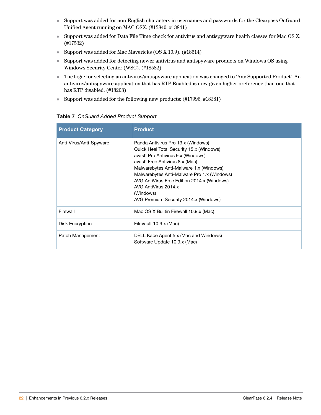- Support was added for non-English characters in usernames and passwords for the Clearpass OnGuard Unified Agent running on MAC OSX. (#13840, #13841)
- Support was added for Data File Time check for antivirus and antispyware health classes for Mac OS X. (#17532)
- Support was added for Mac Mavericks (OS X 10.9). (#18614)
- Support was added for detecting newer antivirus and antispyware products on Windows OS using Windows Security Center (WSC). (#18582)
- The logic for selecting an antivirus/antispyware application was changed to 'Any Supported Product'. An antivirus/antispyware application that has RTP Enabled is now given higher preference than one that has RTP disabled. (#18208)
- Support was added for the following new products: (#17996, #18381)

| <b>Product Category</b> | <b>Product</b>                                                                                                                                                                                                                                                                                                                                                                 |
|-------------------------|--------------------------------------------------------------------------------------------------------------------------------------------------------------------------------------------------------------------------------------------------------------------------------------------------------------------------------------------------------------------------------|
| Anti-Virus/Anti-Spyware | Panda Antivirus Pro 13.x (Windows)<br>Quick Heal Total Security 15.x (Windows)<br>avast! Pro Antivirus 9.x (Windows)<br>avast! Free Antivirus 8.x (Mac)<br>Malwarebytes Anti-Malware 1.x (Windows)<br>Malwarebytes Anti-Malware Pro 1.x (Windows)<br>AVG AntiVirus Free Edition 2014.x (Windows)<br>AVG AntiVirus 2014 x<br>(Windows)<br>AVG Premium Security 2014.x (Windows) |
| Firewall                | Mac OS X Builtin Firewall 10.9.x (Mac)                                                                                                                                                                                                                                                                                                                                         |
| Disk Encryption         | FileVault 10.9.x (Mac)                                                                                                                                                                                                                                                                                                                                                         |
| Patch Management        | DELL Kace Agent 5.x (Mac and Windows)<br>Software Update 10.9.x (Mac)                                                                                                                                                                                                                                                                                                          |

#### **Table 7** OnGuard Added Product Support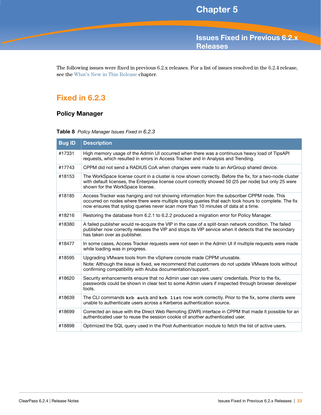<span id="page-22-4"></span><span id="page-22-1"></span><span id="page-22-0"></span>**Issues Fixed in Previous 6.2.x Releases** 

The following issues were fixed in previous 6.2.x releases. For a list of issues resolved in the 6.2.4 release, see the [What's New in This Release](#page-14-6) chapter.

# <span id="page-22-2"></span>**Fixed in 6.2.3**

# <span id="page-22-3"></span>**Policy Manager**

|  |  | Table 8 Policy Manager Issues Fixed in 6.2.3 |  |
|--|--|----------------------------------------------|--|
|--|--|----------------------------------------------|--|

| <b>Bug ID</b> | <b>Description</b>                                                                                                                                                                                                                                                                       |
|---------------|------------------------------------------------------------------------------------------------------------------------------------------------------------------------------------------------------------------------------------------------------------------------------------------|
| #17331        | High memory usage of the Admin UI occurred when there was a continuous heavy load of TipsAPI<br>requests, which resulted in errors in Access Tracker and in Analysis and Trending.                                                                                                       |
| #17743        | CPPM did not send a RADIUS CoA when changes were made to an AirGroup shared device.                                                                                                                                                                                                      |
| #18153        | The WorkSpace license count in a cluster is now shown correctly. Before the fix, for a two-node cluster<br>with default licenses, the Enterprise license count correctly showed 50 (25 per node) but only 25 were<br>shown for the WorkSpace license.                                    |
| #18185        | Access Tracker was hanging and not showing information from the subscriber CPPM node. This<br>occurred on nodes where there were multiple syslog queries that each took hours to complete. The fix<br>now ensures that syslog queries never scan more than 10 minutes of data at a time. |
| #18216        | Restoring the database from 6.2.1 to 6.2.2 produced a migration error for Policy Manager.                                                                                                                                                                                                |
| #18380        | A failed publisher would re-acquire the VIP in the case of a split-brain network condition. The failed<br>publisher now correctly releases the VIP and stops its VIP service when it detects that the secondary<br>has taken over as publisher.                                          |
| #18477        | In some cases, Access Tracker requests were not seen in the Admin UI if multiple requests were made<br>while loading was in progress.                                                                                                                                                    |
| #18595        | Upgrading VMware tools from the vSphere console made CPPM unusable.<br>Note: Although the issue is fixed, we recommend that customers do not update VMware tools without<br>confirming compatibility with Aruba documentation/support.                                                   |
| #18620        | Security enhancements ensure that no Admin user can view users' credentials. Prior to the fix,<br>passwords could be shown in clear text to some Admin users if inspected through browser developer<br>tools.                                                                            |
| #18639        | The CLI commands krb auth and krb list now work correctly. Prior to the fix, some clients were<br>unable to authenticate users across a Kerberos authentication source.                                                                                                                  |
| #18699        | Corrected an issue with the Direct Web Remoting (DWR) interface in CPPM that made it possible for an<br>authenticated user to reuse the session cookie of another authenticated user.                                                                                                    |
| #18898        | Optimized the SQL query used in the Post Authentication module to fetch the list of active users.                                                                                                                                                                                        |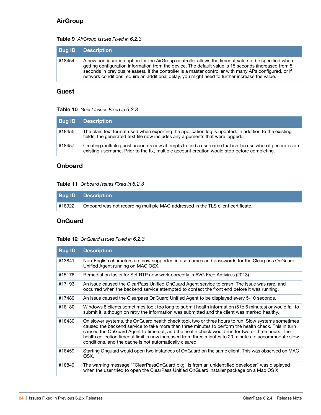# <span id="page-23-0"></span>**AirGroup**

#### **Table 9** AirGroup Issues Fixed in 6.2.3

| <b>Bug ID</b> | <b>Description</b>                                                                                                                                                                                                                                                                                                                                                                                                       |
|---------------|--------------------------------------------------------------------------------------------------------------------------------------------------------------------------------------------------------------------------------------------------------------------------------------------------------------------------------------------------------------------------------------------------------------------------|
| #18454        | A new configuration option for the AirGroup controller allows the timeout value to be specified when<br>getting configuration information from the device. The default value is 15 seconds (increased from 5<br>seconds in previous releases). If the controller is a master controller with many APs configured, or if<br>network conditions require an additional delay, you might need to further increase the value. |

#### <span id="page-23-1"></span>**Guest**

#### **Table 10** Guest Issues Fixed in 6.2.3

| <b>Bug ID</b> | Description                                                                                                                                                                                             |
|---------------|---------------------------------------------------------------------------------------------------------------------------------------------------------------------------------------------------------|
| #18455        | The plain text format used when exporting the application log is updated. In addition to the existing<br>fields, the generated text file now includes any arguments that were logged.                   |
| #18457        | Creating multiple quest accounts now attempts to find a username that isn't in use when it generates an<br>existing username. Prior to the fix, multiple account creation would stop before completing. |

#### <span id="page-23-2"></span>**Onboard**

#### **Table 11** Onboard Issues Fixed in 6.2.3

|        | <b>Bug ID Description</b>                                                       |
|--------|---------------------------------------------------------------------------------|
| #18922 | Onboard was not recording multiple MAC addressed in the TLS client certificate. |

#### <span id="page-23-3"></span>**OnGuard**

#### **Table 12** OnGuard Issues Fixed in 6.2.3

| <b>Bug ID</b> | <b>Description</b>                                                                                                                                                                                                                                                                                                                                                                                                                                                                 |
|---------------|------------------------------------------------------------------------------------------------------------------------------------------------------------------------------------------------------------------------------------------------------------------------------------------------------------------------------------------------------------------------------------------------------------------------------------------------------------------------------------|
| #13841        | Non-English characters are now supported in usernames and passwords for the Clearpass OnGuard<br>Unified Agent running on MAC OSX.                                                                                                                                                                                                                                                                                                                                                 |
| #15176        | Remediation tasks for Set RTP now work correctly in AVG Free Antivirus (2013).                                                                                                                                                                                                                                                                                                                                                                                                     |
| #17193        | An issue caused the ClearPass Unified OnGuard Agent service to crash. The issue was rare, and<br>occurred when the backend service attempted to contact the front end before it was running.                                                                                                                                                                                                                                                                                       |
| #17489        | An issue caused the Clearpass OnGuard Unified Agent to be displayed every 5-10 seconds.                                                                                                                                                                                                                                                                                                                                                                                            |
| #18180        | Windows 8 clients sometimes took too long to submit health information (5 to 6 minutes) or would fail to<br>submit it, although on retry the information was submitted and the client was marked healthy.                                                                                                                                                                                                                                                                          |
| #18430        | On slower systems, the OnGuard health check took two or three hours to run. Slow systems sometimes<br>caused the backend service to take more than three minutes to perform the health check. This in turn<br>caused the OnGuard Agent to time out, and the health check would run for two or three hours. The<br>health collection timeout limit is now increased from three minutes to 20 minutes to accommodate slow<br>conditions, and the cache is not automatically cleared. |
| #18459        | Starting Onguard would open two instances of OnGuard on the same client. This was observed on MAC<br>OSX.                                                                                                                                                                                                                                                                                                                                                                          |
| #18849        | The warning message ""ClearPassOnGuard.pkg" is from an unidentified developer" was displayed<br>when the user tried to open the ClearPass Unified OnGuard installer package on a Mac OS X.                                                                                                                                                                                                                                                                                         |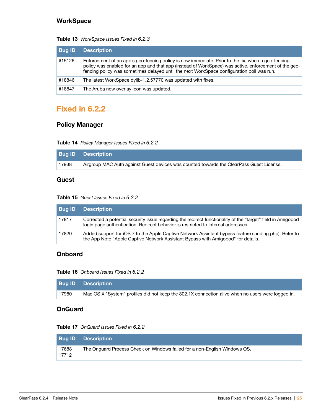### <span id="page-24-0"></span>**WorkSpace**

| <b>Bug ID</b> | <b>Description</b>                                                                                                                                                                                                                                                                                      |
|---------------|---------------------------------------------------------------------------------------------------------------------------------------------------------------------------------------------------------------------------------------------------------------------------------------------------------|
| #15126        | Enforcement of an app's geo-fencing policy is now immediate. Prior to the fix, when a geo-fencing<br>policy was enabled for an app and that app (instead of WorkSpace) was active, enforcement of the geo-<br>fencing policy was sometimes delayed until the next WorkSpace configuration poll was run. |
| #18846        | The latest WorkSpace dylib-1.2.57770 was updated with fixes.                                                                                                                                                                                                                                            |
| #18847        | The Aruba new overlay icon was updated.                                                                                                                                                                                                                                                                 |

#### **Table 13** WorkSpace Issues Fixed in 6.2.3

# <span id="page-24-1"></span>**Fixed in 6.2.2**

# <span id="page-24-2"></span>**Policy Manager**

#### **Table 14** Policy Manager Issues Fixed in 6.2.2

|       | <b>Bug ID Description</b>                                                                |
|-------|------------------------------------------------------------------------------------------|
| 17938 | Airgroup MAC Auth against Guest devices was counted towards the ClearPass Guest License. |

#### <span id="page-24-3"></span>**Guest**

#### **Table 15** Guest Issues Fixed in 6.2.2

| <b>Bug ID</b> | <b>Description</b>                                                                                                                                                                               |
|---------------|--------------------------------------------------------------------------------------------------------------------------------------------------------------------------------------------------|
| 17817         | Corrected a potential security issue regarding the redirect functionality of the "target" field in Amigopod<br>login page authentication. Redirect behavior is restricted to internal addresses. |
| 17820         | Added support for iOS 7 to the Apple Captive Network Assistant bypass feature (landing.php). Refer to<br>the App Note "Apple Captive Network Assistant Bypass with Amigopod" for details.        |

### <span id="page-24-4"></span>**Onboard**

**Table 16** Onboard Issues Fixed in 6.2.2

|       | <b>Bug ID Description</b>                                                                         |
|-------|---------------------------------------------------------------------------------------------------|
| 17980 | Mac OS X "System" profiles did not keep the 802.1X connection alive when no users were logged in. |

#### <span id="page-24-5"></span>**OnGuard**

#### **Table 17** OnGuard Issues Fixed in 6.2.2

|                | <b>Bug ID Description</b>                                                 |
|----------------|---------------------------------------------------------------------------|
| 17688<br>17712 | The Onguard Process Check on Windows failed for a non-English Windows OS. |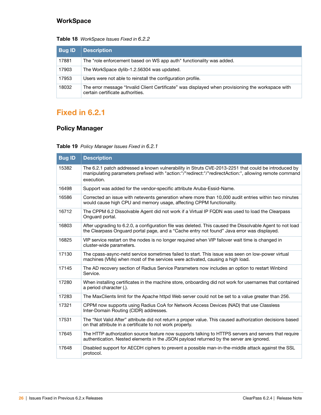# <span id="page-25-0"></span>**WorkSpace**

#### **Table 18** WorkSpace Issues Fixed in 6.2.2

| <b>Bug ID</b> | <b>Description</b>                                                                                                                    |
|---------------|---------------------------------------------------------------------------------------------------------------------------------------|
| 17881         | The "role enforcement based on WS app auth" functionality was added.                                                                  |
| 17903         | The WorkSpace dylib-1.2.56304 was updated.                                                                                            |
| 17953         | Users were not able to reinstall the configuration profile.                                                                           |
| 18032         | The error message "Invalid Client Certificate" was displayed when provisioning the workspace with<br>certain certificate authorities. |

# <span id="page-25-1"></span>**Fixed in 6.2.1**

# <span id="page-25-2"></span>**Policy Manager**

#### **Table 19** Policy Manager Issues Fixed in 6.2.1

| <b>Bug ID</b> | <b>Description</b>                                                                                                                                                                                                          |
|---------------|-----------------------------------------------------------------------------------------------------------------------------------------------------------------------------------------------------------------------------|
| 15382         | The 6.2.1 patch addressed a known vulnerability in Struts CVE-2013-2251 that could be introduced by<br>manipulating parameters prefixed with "action:"/"redirect:"/"redirectAction:", allowing remote command<br>execution. |
| 16498         | Support was added for the vendor-specific attribute Aruba-Essid-Name.                                                                                                                                                       |
| 16586         | Corrected an issue with netevents generation where more than 10,000 audit entries within two minutes<br>would cause high CPU and memory usage, affecting CPPM functionality.                                                |
| 16712         | The CPPM 6.2 Dissolvable Agent did not work if a Virtual IP FQDN was used to load the Clearpass<br>Onguard portal.                                                                                                          |
| 16803         | After upgrading to 6.2.0, a configuration file was deleted. This caused the Dissolvable Agent to not load<br>the Clearpass Onguard portal page, and a "Cache entry not found" Java error was displayed.                     |
| 16825         | VIP service restart on the nodes is no longer required when VIP failover wait time is changed in<br>cluster-wide parameters.                                                                                                |
| 17130         | The cpass-async-netd service sometimes failed to start. This issue was seen on low-power virtual<br>machines (VMs) when most of the services were activated, causing a high load.                                           |
| 17145         | The AD recovery section of Radius Service Parameters now includes an option to restart Winbind<br>Service.                                                                                                                  |
| 17280         | When installing certificates in the machine store, onboarding did not work for usernames that contained<br>a period character (.).                                                                                          |
| 17283         | The MaxClients limit for the Apache httpd Web server could not be set to a value greater than 256.                                                                                                                          |
| 17321         | CPPM now supports using Radius CoA for Network Access Devices (NAD) that use Classless<br>Inter-Domain Routing (CIDR) addresses.                                                                                            |
| 17531         | The "Not Valid After" attribute did not return a proper value. This caused authorization decisions based<br>on that attribute in a certificate to not work properly.                                                        |
| 17645         | The HTTP authorization source feature now supports talking to HTTPS servers and servers that require<br>authentication. Nested elements in the JSON payload returned by the server are ignored.                             |
| 17648         | Disabled support for AECDH ciphers to prevent a possible man-in-the-middle attack against the SSL<br>protocol.                                                                                                              |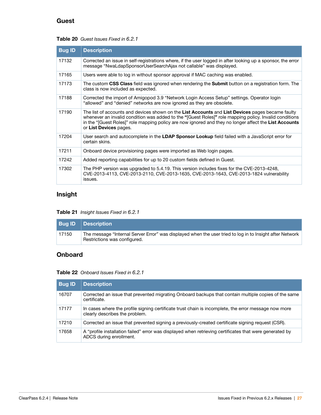# <span id="page-26-0"></span>**Guest**

#### **Table 20** Guest Issues Fixed in 6.2.1

| <b>Bug ID</b> | <b>Description</b>                                                                                                                                                                                                                                                                                                                             |
|---------------|------------------------------------------------------------------------------------------------------------------------------------------------------------------------------------------------------------------------------------------------------------------------------------------------------------------------------------------------|
| 17132         | Corrected an issue in self-registrations where, if the user logged in after looking up a sponsor, the error<br>message "NwaLdapSponsorUserSearchAjax not callable" was displayed.                                                                                                                                                              |
| 17165         | Users were able to log in without sponsor approval if MAC caching was enabled.                                                                                                                                                                                                                                                                 |
| 17173         | The custom CSS Class field was ignored when rendering the Submit button on a registration form. The<br>class is now included as expected.                                                                                                                                                                                                      |
| 17188         | Corrected the import of Amigopod 3.9 "Network Login Access Setup" settings. Operator login<br>"allowed" and "denied" networks are now ignored as they are obsolete.                                                                                                                                                                            |
| 17190         | The list of accounts and devices shown on the List Accounts and List Devices pages became faulty<br>whenever an invalid condition was added to the "[Guest Roles]" role mapping policy. Invalid conditions<br>in the "[Guest Roles]" role mapping policy are now ignored and they no longer affect the List Accounts<br>or List Devices pages. |
| 17204         | User search and autocomplete in the <b>LDAP Sponsor Lookup</b> field failed with a JavaScript error for<br>certain skins.                                                                                                                                                                                                                      |
| 17211         | Onboard device provisioning pages were imported as Web login pages.                                                                                                                                                                                                                                                                            |
| 17242         | Added reporting capabilities for up to 20 custom fields defined in Guest.                                                                                                                                                                                                                                                                      |
| 17302         | The PHP version was upgraded to 5.4.19. This version includes fixes for the CVE-2013-4248,<br>CVE-2013-4113, CVE-2013-2110, CVE-2013-1635, CVE-2013-1643, CVE-2013-1824 vulnerability<br>issues.                                                                                                                                               |

# <span id="page-26-1"></span>**Insight**

#### **Table 21** Insight Issues Fixed in 6.2.1

|       | <b>Bug ID Description</b>                                                                                                                |
|-------|------------------------------------------------------------------------------------------------------------------------------------------|
| 17150 | The message "Internal Server Error" was displayed when the user tried to log in to Insight after Network<br>Restrictions was configured. |

# <span id="page-26-2"></span>**Onboard**

#### **Table 22** Onboard Issues Fixed in 6.2.1

| <b>Bug ID</b> | <b>Description</b>                                                                                                                     |
|---------------|----------------------------------------------------------------------------------------------------------------------------------------|
| 16707         | Corrected an issue that prevented migrating Onboard backups that contain multiple copies of the same<br>certificate.                   |
| 17177         | In cases where the profile signing certificate trust chain is incomplete, the error message now more<br>clearly describes the problem. |
| 17210         | Corrected an issue that prevented signing a previously-created certificate signing request (CSR).                                      |
| 17658         | A "profile installation failed" error was displayed when retrieving certificates that were generated by<br>ADCS during enrollment.     |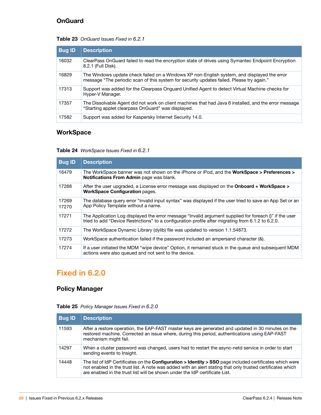# <span id="page-27-0"></span>**OnGuard**

#### **Table 23** OnGuard Issues Fixed in 6.2.1

| <b>Bug ID</b> | <b>Description</b>                                                                                                                                                                       |
|---------------|------------------------------------------------------------------------------------------------------------------------------------------------------------------------------------------|
| 16032         | ClearPass OnGuard failed to read the encryption state of drives using Symantec Endpoint Encryption<br>8.2.1 (Full Disk).                                                                 |
| 16829         | The Windows update check failed on a Windows XP non-English system, and displayed the error<br>message "The periodic scan of this system for security updates failed. Please try again." |
| 17313         | Support was added for the Clearpass Onguard Unified Agent to detect Virtual Machine checks for<br>Hyper-V Manager.                                                                       |
| 17357         | The Dissolvable Agent did not work on client machines that had Java 6 installed, and the error message<br>"Starting applet clearpass OnGuard" was displayed.                             |
| 17582         | Support was added for Kaspersky Internet Security 14.0.                                                                                                                                  |

# <span id="page-27-1"></span>**WorkSpace**

#### **Table 24** WorkSpace Issues Fixed in 6.2.1

| <b>Bug ID</b>  | <b>Description</b>                                                                                                                                                                                           |
|----------------|--------------------------------------------------------------------------------------------------------------------------------------------------------------------------------------------------------------|
| 16479          | The WorkSpace banner was not shown on the iPhone or iPod, and the <b>WorkSpace &gt; Preferences &gt;</b><br><b>Notifications From Admin page was blank.</b>                                                  |
| 17268          | After the user upgraded, a License error message was displayed on the <b>Onboard + WorkSpace &gt;</b><br><b>WorkSpace Configuration pages.</b>                                                               |
| 17269<br>17270 | The database query error "invalid input syntax" was displayed if the user tried to save an App Set or an<br>App Policy Template without a name.                                                              |
| 17271          | The Application Log displayed the error message "Invalid argument supplied for foreach ()" if the user<br>tried to add "Device Restrictions" to a configuration profile after migrating from 6.1.2 to 6.2.0. |
| 17272          | The WorkSpace Dynamic Library (dylib) file was updated to version 1.1.54873.                                                                                                                                 |
| 17273          | WorkSpace authentication failed if the password included an ampersand character (&).                                                                                                                         |
| 17274          | If a user initiated the MDM "wipe device" Option, it remained stuck in the queue and subsequent MDM<br>actions were also queued and not sent to the device.                                                  |

# <span id="page-27-2"></span>**Fixed in 6.2.0**

### <span id="page-27-3"></span>**Policy Manager**

#### **Table 25** Policy Manager Issues Fixed in 6.2.0

| <b>Bug ID</b> | <b>Description</b>                                                                                                                                                                                                                                                                                                 |
|---------------|--------------------------------------------------------------------------------------------------------------------------------------------------------------------------------------------------------------------------------------------------------------------------------------------------------------------|
| 11593         | After a restore operation, the EAP-FAST master keys are generated and updated in 30 minutes on the<br>restored machine. Corrected an issue where, during this period, authentications using EAP-FAST<br>mechanism might fail.                                                                                      |
| 14297         | When a cluster password was changed, users had to restart the async-netd service in order to start<br>sending events to Insight.                                                                                                                                                                                   |
| 14448         | The list of IdP Certificates on the <b>Configuration &gt; Identity &gt; SSO</b> page included certificates which were<br>not enabled in the trust list. A note was added with an alert stating that only trusted certificates which<br>are enabled in the trust list will be shown under the IdP certificate List. |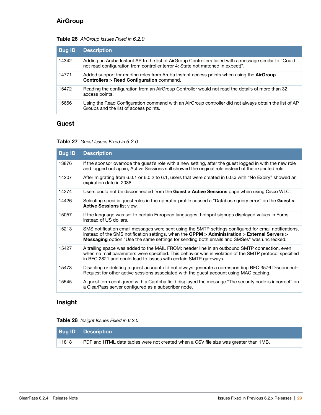# <span id="page-28-0"></span>**AirGroup**

#### **Table 26** AirGroup Issues Fixed in 6.2.0

| <b>Bug ID</b> | <b>Description</b>                                                                                                                                                                        |
|---------------|-------------------------------------------------------------------------------------------------------------------------------------------------------------------------------------------|
| 14342         | Adding an Aruba Instant AP to the list of AirGroup Controllers failed with a message similar to "Could<br>not read configuration from controller (error 4: State not matched in expect)". |
| 14771         | Added support for reading roles from Aruba Instant access points when using the <b>AirGroup</b><br><b>Controllers &gt; Read Configuration command.</b>                                    |
| 15472         | Reading the configuration from an AirGroup Controller would not read the details of more than 32<br>access points.                                                                        |
| 15656         | Using the Read Configuration command with an AirGroup controller did not always obtain the list of AP<br>Groups and the list of access points.                                            |

#### <span id="page-28-1"></span>**Guest**

#### **Table 27** Guest Issues Fixed in 6.2.0

| <b>Bug ID</b> | <b>Description</b>                                                                                                                                                                                                                                                                                         |
|---------------|------------------------------------------------------------------------------------------------------------------------------------------------------------------------------------------------------------------------------------------------------------------------------------------------------------|
| 13876         | If the sponsor overrode the guest's role with a new setting, after the guest logged in with the new role<br>and logged out again, Active Sessions still showed the original role instead of the expected role.                                                                                             |
| 14207         | After migrating from 6.0.1 or 6.0.2 to 6.1, users that were created in 6.0.x with "No Expiry" showed an<br>expiration date in 2038.                                                                                                                                                                        |
| 14274         | Users could not be disconnected from the Guest > Active Sessions page when using Cisco WLC.                                                                                                                                                                                                                |
| 14426         | Selecting specific guest roles in the operator profile caused a "Database query error" on the <b>Guest</b> ><br><b>Active Sessions list view.</b>                                                                                                                                                          |
| 15057         | If the language was set to certain European languages, hotspot signups displayed values in Euros<br>instead of US dollars.                                                                                                                                                                                 |
| 15213         | SMS notification email messages were sent using the SMTP settings configured for email notifications,<br>instead of the SMS notification settings, when the CPPM > Administration > External Servers ><br><b>Messaging</b> option "Use the same settings for sending both emails and SMSes" was unchecked. |
| 15427         | A trailing space was added to the MAIL FROM: header line in an outbound SMTP connection, even<br>when no mail parameters were specified. This behavior was in violation of the SMTP protocol specified<br>in RFC 2821 and could lead to issues with certain SMTP gateways.                                 |
| 15473         | Disabling or deleting a guest account did not always generate a corresponding RFC 3576 Disconnect-<br>Request for other active sessions associated with the guest account using MAC caching.                                                                                                               |
| 15545         | A guest form configured with a Captcha field displayed the message "The security code is incorrect" on<br>a ClearPass server configured as a subscriber node.                                                                                                                                              |

# <span id="page-28-2"></span>**Insight**

**Table 28** Insight Issues Fixed in 6.2.0

|       | <b>Bug ID Description</b>                                                            |
|-------|--------------------------------------------------------------------------------------|
| 11818 | PDF and HTML data tables were not created when a CSV file size was greater than 1MB. |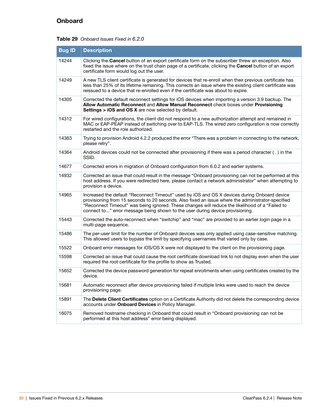# <span id="page-29-0"></span>**Onboard**

#### **Table 29** Onboard Issues Fixed in 6.2.0

| <b>Bug ID</b> | <b>Description</b>                                                                                                                                                                                                                                                                                                                                                                    |
|---------------|---------------------------------------------------------------------------------------------------------------------------------------------------------------------------------------------------------------------------------------------------------------------------------------------------------------------------------------------------------------------------------------|
| 14244         | Clicking the <b>Cancel</b> button of an export certificate form on the subscriber threw an exception. Also<br>fixed the issue where on the trust chain page of a certificate, clicking the Cancel button of an export<br>certificate form would log out the user.                                                                                                                     |
| 14249         | A new TLS client certificate is generated for devices that re-enroll when their previous certificate has<br>less than 25% of its lifetime remaining. This corrects an issue where the existing client certificate was<br>reissued to a device that re-enrolled even if the certificate was about to expire.                                                                           |
| 14305         | Corrected the default reconnect settings for iOS devices when importing a version 3.9 backup. The<br>Allow Automatic Reconnect and Allow Manual Reconnect check boxes under Provisioning<br>Settings > iOS and OS X are now selected by default.                                                                                                                                      |
| 14312         | For wired configurations, the client did not respond to a new authorization attempt and remained in<br>MAC or EAP-PEAP instead of switching over to EAP-TLS. The wired zero configuration is now correctly<br>restarted and the role authorized.                                                                                                                                      |
| 14363         | Trying to provision Android 4.2.2 produced the error "There was a problem in connecting to the network,<br>please retry".                                                                                                                                                                                                                                                             |
| 14364         | Android devices could not be connected after provisioning if there was a period character ( . ) in the<br>SSID.                                                                                                                                                                                                                                                                       |
| 14677         | Corrected errors in migration of Onboard configuration from 6.0.2 and earlier systems.                                                                                                                                                                                                                                                                                                |
| 14932         | Corrected an issue that could result in the message "Onboard provisioning can not be performed at this<br>host address. If you were redirected here, please contact a network administrator" when attempting to<br>provision a device.                                                                                                                                                |
| 14965         | Increased the default "Reconnect Timeout" used by iOS and OS X devices during Onboard device<br>provisioning from 15 seconds to 20 seconds. Also fixed an issue where the administrator-specified<br>"Reconnect Timeout" was being ignored. These changes will reduce the likelihood of a "Failed to<br>connect to" error message being shown to the user during device provisioning. |
| 15443         | Corrected the auto-reconnect when "switchip" and "mac" are provided to an earlier login page in a<br>multi-page sequence.                                                                                                                                                                                                                                                             |
| 15486         | The per-user limit for the number of Onboard devices was only applied using case-sensitive matching.<br>This allowed users to bypass the limit by specifying usernames that varied only by case.                                                                                                                                                                                      |
| 15522         | Onboard error messages for iOS/OS X were not displayed to the client on the provisioning page.                                                                                                                                                                                                                                                                                        |
| 15598         | Corrected an issue that could cause the root certificate download link to not display even when the user<br>required the root certificate for the profile to show as Trusted.                                                                                                                                                                                                         |
| 15652         | Corrected the device password generation for repeat enrollments when using certificates created by the<br>device.                                                                                                                                                                                                                                                                     |
| 15681         | Automatic reconnect after device provisioning failed if multiple links were used to reach the device<br>provisioning page.                                                                                                                                                                                                                                                            |
| 15891         | The Delete Client Certificates option on a Certificate Authority did not delete the corresponding device<br>accounts under Onboard Devices in Policy Manager.                                                                                                                                                                                                                         |
| 16075         | Removed hostname checking in Onboard that could result in "Onboard provisioning can not be<br>performed at this host address" error being displayed.                                                                                                                                                                                                                                  |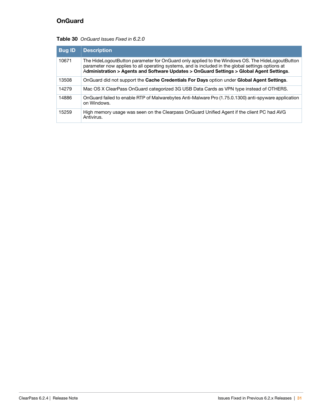# <span id="page-30-0"></span>**OnGuard**

#### **Table 30** OnGuard Issues Fixed in 6.2.0

| <b>Bug ID</b> | <b>Description</b>                                                                                                                                                                                                                                                                               |
|---------------|--------------------------------------------------------------------------------------------------------------------------------------------------------------------------------------------------------------------------------------------------------------------------------------------------|
| 10671         | The HideLogoutButton parameter for OnGuard only applied to the Windows OS. The HideLogoutButton<br>parameter now applies to all operating systems, and is included in the global settings options at<br>Administration > Agents and Software Updates > OnGuard Settings > Global Agent Settings. |
| 13508         | OnGuard did not support the Cache Credentials For Days option under Global Agent Settings.                                                                                                                                                                                                       |
| 14279         | Mac OS X ClearPass OnGuard categorized 3G USB Data Cards as VPN type instead of OTHERS.                                                                                                                                                                                                          |
| 14886         | OnGuard failed to enable RTP of Malwarebytes Anti-Malware Pro (1.75.0.1300) anti-spyware application<br>on Windows.                                                                                                                                                                              |
| 15259         | High memory usage was seen on the Clearpass OnGuard Unified Agent if the client PC had AVG<br>Antivirus.                                                                                                                                                                                         |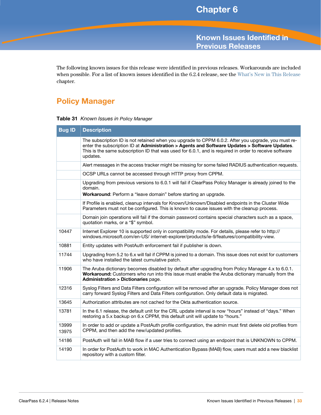<span id="page-32-3"></span><span id="page-32-1"></span><span id="page-32-0"></span>**Known Issues Identified in Previous Releases**

The following known issues for this release were identified in previous releases. Workarounds are included when possible. For a list of known issues identified in the 6.2.4 release, see the [What's New in This Release](#page-14-6) chapter.

# <span id="page-32-2"></span>**Policy Manager**

|  |  |  | Table 31 Known Issues in Policy Manager |
|--|--|--|-----------------------------------------|
|--|--|--|-----------------------------------------|

| <b>Bug ID</b>  | <b>Description</b>                                                                                                                                                                                                                                                                                                         |
|----------------|----------------------------------------------------------------------------------------------------------------------------------------------------------------------------------------------------------------------------------------------------------------------------------------------------------------------------|
|                | The subscription ID is not retained when you upgrade to CPPM 6.0.2. After you upgrade, you must re-<br>enter the subscription ID at Administration > Agents and Software Updates > Software Updates.<br>This is the same subscription ID that was used for 6.0.1, and is required in order to receive software<br>updates. |
|                | Alert messages in the access tracker might be missing for some failed RADIUS authentication requests.                                                                                                                                                                                                                      |
|                | OCSP URLs cannot be accessed through HTTP proxy from CPPM.                                                                                                                                                                                                                                                                 |
|                | Upgrading from previous versions to 6.0.1 will fail if ClearPass Policy Manager is already joined to the<br>domain.<br>Workaround: Perform a "leave domain" before starting an upgrade.                                                                                                                                    |
|                | If Profile is enabled, cleanup intervals for Known/Unknown/Disabled endpoints in the Cluster Wide<br>Parameters must not be configured. This is known to cause issues with the cleanup process.                                                                                                                            |
|                | Domain join operations will fail if the domain password contains special characters such as a space,<br>quotation marks, or a "\$" symbol.                                                                                                                                                                                 |
| 10447          | Internet Explorer 10 is supported only in compatibility mode. For details, please refer to http://<br>windows.microsoft.com/en-US/ internet-explorer/products/ie-9/features/compatibility-view.                                                                                                                            |
| 10881          | Entity updates with PostAuth enforcement fail if publisher is down.                                                                                                                                                                                                                                                        |
| 11744          | Upgrading from 5.2 to 6.x will fail if CPPM is joined to a domain. This issue does not exist for customers<br>who have installed the latest cumulative patch.                                                                                                                                                              |
| 11906          | The Aruba dictionary becomes disabled by default after upgrading from Policy Manager 4.x to 6.0.1.<br>Workaround: Customers who run into this issue must enable the Aruba dictionary manually from the<br><b>Administration &gt; Dictionaries page.</b>                                                                    |
| 12316          | Syslog Filters and Data Filters configuration will be removed after an upgrade. Policy Manager does not<br>carry forward Syslog Filters and Data Filters configuration. Only default data is migrated.                                                                                                                     |
| 13645          | Authorization attributes are not cached for the Okta authentication source.                                                                                                                                                                                                                                                |
| 13781          | In the 6.1 release, the default unit for the CRL update interval is now "hours" instead of "days." When<br>restoring a 5.x backup on 6.x CPPM, this default unit will update to "hours."                                                                                                                                   |
| 13999<br>13975 | In order to add or update a PostAuth profile configuration, the admin must first delete old profiles from<br>CPPM, and then add the new/updated profiles.                                                                                                                                                                  |
| 14186          | PostAuth will fail in MAB flow if a user tries to connect using an endpoint that is UNKNOWN to CPPM.                                                                                                                                                                                                                       |
| 14190          | In order for PostAuth to work in MAC Authentication Bypass (MAB) flow, users must add a new blacklist<br>repository with a custom filter.                                                                                                                                                                                  |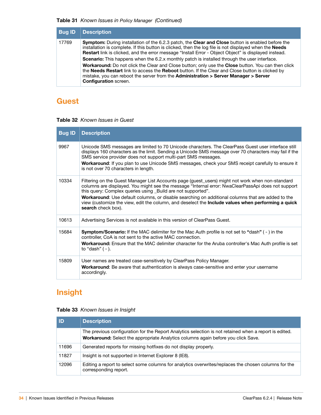#### **Table 31** Known Issues in Policy Manager (Continued)

| <b>Bug ID</b> | <b>Description</b>                                                                                                                                                                                                                                                                                                                                                                                                                                       |
|---------------|----------------------------------------------------------------------------------------------------------------------------------------------------------------------------------------------------------------------------------------------------------------------------------------------------------------------------------------------------------------------------------------------------------------------------------------------------------|
| 17769         | <b>Symptom:</b> During installation of the 6.2.3 patch, the <b>Clear and Close</b> button is enabled before the<br>installation is complete. If this button is clicked, then the log file is not displayed when the Needs<br><b>Restart</b> link is clicked, and the error message "Install Error - Object Object" is displayed instead.                                                                                                                 |
|               | Scenario: This happens when the 6.2.x monthly patch is installed through the user interface.<br><b>Workaround:</b> Do not click the Clear and Close button; only use the <b>Close</b> button. You can then click<br>the Needs Restart link to access the Reboot button. If the Clear and Close button is clicked by<br>mistake, you can reboot the server from the <b>Administration &gt; Server Manager &gt; Server</b><br><b>Configuration</b> screen. |

# <span id="page-33-0"></span>**Guest**

#### **Table 32** Known Issues in Guest

| <b>Bug ID</b> | <b>Description</b>                                                                                                                                                                                                                                                                                                                                                                                                                                                                                             |
|---------------|----------------------------------------------------------------------------------------------------------------------------------------------------------------------------------------------------------------------------------------------------------------------------------------------------------------------------------------------------------------------------------------------------------------------------------------------------------------------------------------------------------------|
| 9967          | Unicode SMS messages are limited to 70 Unicode characters. The ClearPass Guest user interface still<br>displays 160 characters as the limit. Sending a Unicode SMS message over 70 characters may fail if the<br>SMS service provider does not support multi-part SMS messages.<br>Workaround: If you plan to use Unicode SMS messages, check your SMS receipt carefully to ensure it<br>is not over 70 characters in length.                                                                                  |
| 10334         | Filtering on the Guest Manager List Accounts page (guest_users) might not work when non-standard<br>columns are displayed. You might see the message "Internal error: NwaClearPassApi does not support<br>this query: Complex queries using _Build are not supported".<br>Workaround: Use default columns, or disable searching on additional columns that are added to the<br>view (customize the view, edit the column, and deselect the <b>Include values when performing a quick</b><br>search check box). |
| 10613         | Advertising Services is not available in this version of ClearPass Guest.                                                                                                                                                                                                                                                                                                                                                                                                                                      |
| 15684         | Symptom/Scenario: If the MAC delimiter for the Mac Auth profile is not set to "dash" (-) in the<br>controller, CoA is not sent to the active MAC connection.<br><b>Workaround:</b> Ensure that the MAC delimiter character for the Aruba controller's Mac Auth profile is set<br>to "dash" $(-)$ .                                                                                                                                                                                                             |
| 15809         | User names are treated case-sensitively by ClearPass Policy Manager.<br><b>Workaround:</b> Be aware that authentication is always case-sensitive and enter your username<br>accordingly.                                                                                                                                                                                                                                                                                                                       |

# <span id="page-33-1"></span>**Insight**

### **Table 33** Known Issues in Insight

| <b>ID</b> | <b>Description</b>                                                                                                                                                                          |
|-----------|---------------------------------------------------------------------------------------------------------------------------------------------------------------------------------------------|
|           | The previous configuration for the Report Analytics selection is not retained when a report is edited.<br>Workaround: Select the appropriate Analytics columns again before you click Save. |
| 11696     | Generated reports for missing hotfixes do not display properly.                                                                                                                             |
| 11827     | Insight is not supported in Internet Explorer 8 (IE8).                                                                                                                                      |
| 12096     | Editing a report to select some columns for analytics overwrites/replaces the chosen columns for the<br>corresponding report.                                                               |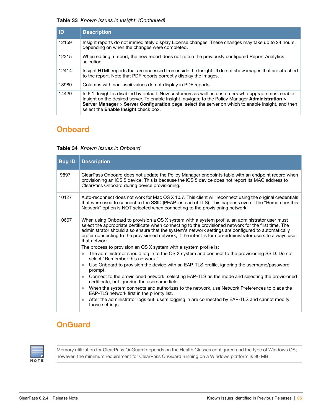#### **Table 33** Known Issues in Insight (Continued)

| ID    | <b>Description</b>                                                                                                                                                                                                                                                                                                                                           |
|-------|--------------------------------------------------------------------------------------------------------------------------------------------------------------------------------------------------------------------------------------------------------------------------------------------------------------------------------------------------------------|
| 12159 | Insight reports do not immediately display License changes. These changes may take up to 24 hours,<br>depending on when the changes were completed.                                                                                                                                                                                                          |
| 12315 | When editing a report, the new report does not retain the previously configured Report Analytics<br>selection.                                                                                                                                                                                                                                               |
| 12414 | Insight HTML reports that are accessed from inside the Insight UI do not show images that are attached<br>to the report. Note that PDF reports correctly display the images.                                                                                                                                                                                 |
| 13980 | Columns with non-ascii values do not display in PDF reports.                                                                                                                                                                                                                                                                                                 |
| 14420 | In 6.1, Insight is disabled by default. New customers as well as customers who upgrade must enable<br>Insight on the desired server. To enable Insight, navigate to the Policy Manager Administration ><br>Server Manager > Server Configuration page, select the server on which to enable Insight, and then<br>select the <b>Enable Insight</b> check box. |

# <span id="page-34-0"></span>**Onboard**

#### **Table 34** Known Issues in Onboard

| <b>Bug ID</b> | <b>Description</b>                                                                                                                                                                                                                                                                                                                                                                                                                           |
|---------------|----------------------------------------------------------------------------------------------------------------------------------------------------------------------------------------------------------------------------------------------------------------------------------------------------------------------------------------------------------------------------------------------------------------------------------------------|
| 9897          | ClearPass Onboard does not update the Policy Manager endpoints table with an endpoint record when<br>provisioning an iOS 5 device. This is because the iOS 5 device does not report its MAC address to<br>ClearPass Onboard during device provisioning.                                                                                                                                                                                      |
| 10127         | Auto-reconnect does not work for Mac OS X 10.7. This client will reconnect using the original credentials<br>that were used to connect to the SSID (PEAP instead of TLS). This happens even if the "Remember this<br>Network" option is NOT selected when connecting to the provisioning network.                                                                                                                                            |
| 10667         | When using Onboard to provision a OS X system with a system profile, an administrator user must<br>select the appropriate certificate when connecting to the provisioned network for the first time. The<br>administrator should also ensure that the system's network settings are configured to automatically<br>prefer connecting to the provisioned network, if the intent is for non-administrator users to always use<br>that network. |
|               | The process to provision an OS X system with a system profile is:                                                                                                                                                                                                                                                                                                                                                                            |
|               | The administrator should log in to the OS X system and connect to the provisioning SSID. Do not<br>$\bullet$<br>select "Remember this network."                                                                                                                                                                                                                                                                                              |
|               | Use Onboard to provision the device with an EAP-TLS profile, ignoring the username/password<br>prompt.                                                                                                                                                                                                                                                                                                                                       |
|               | Connect to the provisioned network, selecting EAP-TLS as the mode and selecting the provisioned<br>$\bullet$<br>certificate, but ignoring the username field.                                                                                                                                                                                                                                                                                |
|               | When the system connects and authorizes to the network, use Network Preferences to place the<br>$\bullet$<br>EAP-TLS network first in the priority list.                                                                                                                                                                                                                                                                                     |
|               | After the administrator logs out, users logging in are connected by EAP-TLS and cannot modify<br>$\bullet$<br>those settings.                                                                                                                                                                                                                                                                                                                |

# <span id="page-34-1"></span>**OnGuard**



Memory utilization for ClearPass OnGuard depends on the Health Classes configured and the type of Windows OS; however, the minimum requirement for ClearPass OnGuard running on a Windows platform is 90 MB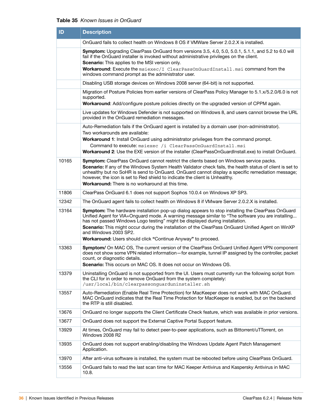#### **Table 35** Known Issues in OnGuard

| ID    | <b>Description</b>                                                                                                                                                                                                                                                                                                                                                                                                                                                                    |
|-------|---------------------------------------------------------------------------------------------------------------------------------------------------------------------------------------------------------------------------------------------------------------------------------------------------------------------------------------------------------------------------------------------------------------------------------------------------------------------------------------|
|       | OnGuard fails to collect health on Windows 8 OS if VMWare Server 2.0.2.X is installed.                                                                                                                                                                                                                                                                                                                                                                                                |
|       | Symptom: Upgrading ClearPass OnGuard from versions 3.5, 4.0, 5.0, 5.0.1, 5.1.1, and 5.2 to 6.0 will<br>fail if the OnGuard installer is invoked without administrative privileges on the client.<br><b>Scenario:</b> This applies to the MSI version only.                                                                                                                                                                                                                            |
|       | <b>Workaround:</b> Execute the msiexec/I ClearPassOnGuardInstall.msi command from the<br>windows command prompt as the administrator user.                                                                                                                                                                                                                                                                                                                                            |
|       | Disabling USB storage devices on Windows 2008 server (64-bit) is not supported.                                                                                                                                                                                                                                                                                                                                                                                                       |
|       | Migration of Posture Policies from earlier versions of ClearPass Policy Manager to 5.1.x/5.2.0/6.0 is not<br>supported.<br>Workaround: Add/configure posture policies directly on the upgraded version of CPPM again.                                                                                                                                                                                                                                                                 |
|       | Live updates for Windows Defender is not supported on Windows 8, and users cannot browse the URL<br>provided in the OnGuard remediation messages.                                                                                                                                                                                                                                                                                                                                     |
|       | Auto-Remediation fails if the OnGuard agent is installed by a domain user (non-administrator).<br>Two workarounds are available:<br><b>Workaround 1:</b> Install OnGuard using administrator privileges from the command prompt.<br>Command to execute: msiexec /i ClearPassOnGuardInstall.msi<br>Workaround 2: Use the EXE version of the installer (ClearPassOnGuardInstall.exe) to install OnGuard.                                                                                |
| 10165 | <b>Symptom:</b> ClearPass OnGuard cannot restrict the clients based on Windows service packs.<br>Scenario: If any of the Windows System Health Validator check fails, the health status of client is set to<br>unhealthy but no SoHR is send to OnGuard. OnGuard cannot display a specific remediation message;<br>however, the icon is set to Red shield to indicate the client is Unhealthy.<br><b>Workaround:</b> There is no workaround at this time.                             |
| 11806 | ClearPass OnGuard 6.1 does not support Sophos 10.0.4 on Windows XP SP3.                                                                                                                                                                                                                                                                                                                                                                                                               |
| 12342 | The OnGuard agent fails to collect health on Windows 8 if VMware Server 2.0.2.X is installed.                                                                                                                                                                                                                                                                                                                                                                                         |
| 13164 | Symptom: The hardware installation pop-up dialog appears to stop installing the ClearPass OnGuard<br>Unified Agent for VIA+Onguard mode. A warning message similar to "The software you are installing<br>has not passed Windows Logo testing" might be displayed during installation.<br>Scenario: This might occur during the installation of the ClearPass OnGuard Unified Agent on WinXP<br>and Windows 2003 SP2.<br>Workaround: Users should click "Continue Anyway" to proceed. |
| 13363 | Symptom/ On MAC OS, The current version of the ClearPass OnGuard Unified Agent VPN component<br>does not show some VPN related information—for example, tunnel IP assigned by the controller, packet<br>count, or diagnostic details.<br><b>Scenario:</b> This occurs on MAC OS. It does not occur on Windows OS.                                                                                                                                                                     |
| 13379 | Uninstalling OnGuard is not supported from the UI. Users must currently run the following script from<br>the CLI for in order to remove OnGuard from the system completely:<br>/usr/local/bin/clearpassonquarduninstaller.sh                                                                                                                                                                                                                                                          |
| 13557 | Auto-Remediation (Enable Real Time Protection) for MacKeeper does not work with MAC OnGuard.<br>MAC OnGuard indicates that the Real Time Protection for MacKeeper is enabled, but on the backend<br>the RTP is still disabled.                                                                                                                                                                                                                                                        |
| 13676 | OnGuard no longer supports the Client Certificate Check feature, which was available in prior versions.                                                                                                                                                                                                                                                                                                                                                                               |
| 13677 | OnGuard does not support the External Captive Portal Support feature.                                                                                                                                                                                                                                                                                                                                                                                                                 |
| 13929 | At times, OnGuard may fail to detect peer-to-peer applications, such as Bittorrent/uTTorrent, on<br>Windows 2008 R2                                                                                                                                                                                                                                                                                                                                                                   |
| 13935 | OnGuard does not support enabling/disabling the Windows Update Agent Patch Management<br>Application.                                                                                                                                                                                                                                                                                                                                                                                 |
| 13970 | After anti-virus software is installed, the system must be rebooted before using ClearPass OnGuard.                                                                                                                                                                                                                                                                                                                                                                                   |
| 13556 | OnGuard fails to read the last scan time for MAC Keeper Antivirus and Kaspersky Antivirus in MAC<br>10.8.                                                                                                                                                                                                                                                                                                                                                                             |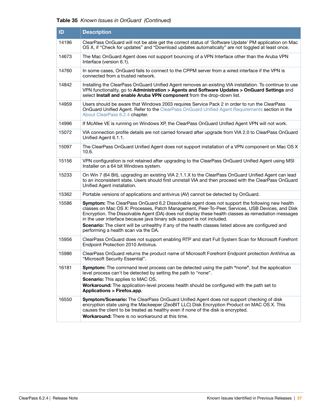#### **Table 35** Known Issues in OnGuard (Continued)

| ID    | <b>Description</b>                                                                                                                                                                                                                                                                                                                                                                  |
|-------|-------------------------------------------------------------------------------------------------------------------------------------------------------------------------------------------------------------------------------------------------------------------------------------------------------------------------------------------------------------------------------------|
| 14196 | ClearPass OnGuard will not be able get the correct status of 'Software Update' PM application on Mac<br>OS X, if "Check for updates" and "Download updates automatically" are not toggled at least once.                                                                                                                                                                            |
| 14673 | The Mac OnGuard Agent does not support bouncing of a VPN Interface other than the Aruba VPN<br>Interface (version 6.1).                                                                                                                                                                                                                                                             |
| 14760 | In some cases, OnGuard fails to connect to the CPPM server from a wired interface if the VPN is<br>connected from a trusted network.                                                                                                                                                                                                                                                |
| 14842 | Installing the ClearPass OnGuard Unified Agent removes an existing VIA installation. To continue to use<br>VPN functionality, go to Administration > Agents and Software Updates > OnGuard Settings and<br>select Install and enable Aruba VPN component from the drop-down list.                                                                                                   |
| 14959 | Users should be aware that Windows 2003 requires Service Pack 2 in order to run the ClearPass<br>OnGuard Unified Agent. Refer to the ClearPass OnGuard Unified Agent Requirements section in the<br>About ClearPass 6.2.4 chapter.                                                                                                                                                  |
| 14996 | If McAfee VE is running on Windows XP, the ClearPass OnGuard Unified Agent VPN will not work.                                                                                                                                                                                                                                                                                       |
| 15072 | VIA connection profile details are not carried forward after upgrade from VIA 2.0 to ClearPass OnGuard<br>Unified Agent 6.1.1.                                                                                                                                                                                                                                                      |
| 15097 | The ClearPass OnGuard Unified Agent does not support installation of a VPN component on Mac OS X<br>10.6.                                                                                                                                                                                                                                                                           |
| 15156 | VPN configuration is not retained after upgrading to the ClearPass OnGuard Unified Agent using MSI<br>Installer on a 64 bit Windows system.                                                                                                                                                                                                                                         |
| 15233 | On Win 7 (64 Bit), upgrading an existing VIA 2.1.1.X to the ClearPass OnGuard Unified Agent can lead<br>to an inconsistent state. Users should first uninstall VIA and then proceed with the ClearPass OnGuard<br>Unified Agent installation.                                                                                                                                       |
| 15362 | Portable versions of applications and antivirus (AV) cannot be detected by OnGuard.                                                                                                                                                                                                                                                                                                 |
| 15586 | Symptom: The ClearPass OnGuard 6.2 Dissolvable agent does not support the following new health<br>classes on Mac OS X: Processes, Patch Management, Peer-To-Peer, Services, USB Devices, and Disk<br>Encryption. The Dissolvable Agent (DA) does not display these health classes as remediation messages<br>in the user interface because java binary sdk support is not included. |
|       | Scenario: The client will be unhealthy if any of the health classes listed above are configured and<br>performing a health scan via the DA.                                                                                                                                                                                                                                         |
| 15956 | ClearPass OnGuard does not support enabling RTP and start Full System Scan for Microsoft Forefront<br>Endpoint Protection 2010 Antivirus.                                                                                                                                                                                                                                           |
| 15986 | ClearPass OnGuard returns the product name of Microsoft Forefront Endpoint protection AntiVirus as<br>"Microsoft Security Essential".                                                                                                                                                                                                                                               |
| 16181 | Symptom: The command level process can be detected using the path "none", but the application<br>level process can't be detected by setting the path to "none".<br><b>Scenario:</b> This applies to MAC OS.<br>Workaround: The application-level process health should be configured with the path set to<br>Applications > Firefox.app.                                            |
| 16550 | Symptom/Scenario: The ClearPass OnGuard Unified Agent does not support checking of disk<br>encryption state using the Mackeeper (ZeoBIT LLC) Disk Encryption Product on MAC OS X. This<br>causes the client to be treated as healthy even if none of the disk is encrypted.<br>Workaround: There is no workaround at this time.                                                     |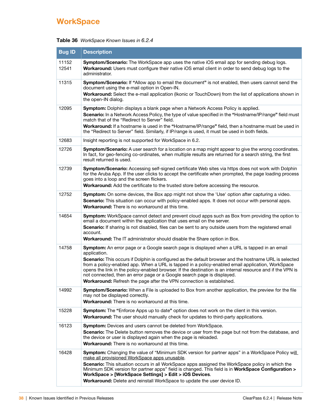# <span id="page-37-0"></span>**WorkSpace**

|  | Table 36 WorkSpace Known Issues in 6.2.4 |  |
|--|------------------------------------------|--|
|--|------------------------------------------|--|

| <b>Bug ID</b>  | <b>Description</b>                                                                                                                                                                                                                                                                                                                                                                                                                                                                           |
|----------------|----------------------------------------------------------------------------------------------------------------------------------------------------------------------------------------------------------------------------------------------------------------------------------------------------------------------------------------------------------------------------------------------------------------------------------------------------------------------------------------------|
| 11152<br>12541 | Symptom/Scenario: The WorkSpace app uses the native iOS email app for sending debug logs.<br>Workaround: Users must configure their native iOS email client in order to send debug logs to the<br>administrator.                                                                                                                                                                                                                                                                             |
| 11315          | Symptom/Scenario: If "Allow app to email the document" is not enabled, then users cannot send the<br>document using the e-mail option in Open-IN.<br>Workaround: Select the e-mail application (Ikonic or TouchDown) from the list of applications shown in<br>the open-IN dialog.                                                                                                                                                                                                           |
| 12095          | Symptom: Dolphin displays a blank page when a Network Access Policy is applied.<br>Scenario: In a Network Access Policy, the type of value specified in the "Hostname/IP/range" field must<br>match that of the "Redirect to Server" field.<br>Workaround: If a hostname is used in the "Hostname/IP/range" field, then a hostname must be used in<br>the "Redirect to Server" field. Similarly, if IP/range is used, it must be used in both fields.                                        |
| 12683          | Insight reporting is not supported for WorkSpace in 6.2.                                                                                                                                                                                                                                                                                                                                                                                                                                     |
| 12726          | Symptom/Scenario: A user search for a location on a map might appear to give the wrong coordinates.<br>In fact, for geo-fencing co-ordinates, when multiple results are returned for a search string, the first<br>result returned is used.                                                                                                                                                                                                                                                  |
| 12739          | Symptom/Scenario: Accessing self-signed certificate Web sites via https does not work with Dolphin<br>for the Aruba App. If the user clicks to accept the certificate when prompted, the page loading process<br>goes into a loop and the screen flickers.<br>Workaround: Add the certificate to the trusted store before accessing the resource.                                                                                                                                            |
| 12752          | Symptom: On some devices, the Box app might not show the 'Use' option after capturing a video.<br>Scenario: This situation can occur with policy-enabled apps. It does not occur with personal apps.<br><b>Workaround:</b> There is no workaround at this time.                                                                                                                                                                                                                              |
| 14654          | Symptom: WorkSpace cannot detect and prevent cloud apps such as Box from providing the option to<br>email a document within the application that uses email on the server.<br>Scenario: If sharing is not disabled, files can be sent to any outside users from the registered email<br>account.<br><b>Workaround:</b> The IT administrator should disable the Share option in Box.                                                                                                          |
| 14758          | Symptom: An error page or a Google search page is displayed when a URL is tapped in an email                                                                                                                                                                                                                                                                                                                                                                                                 |
|                | application.<br>Scenario: This occurs if Dolphin is configured as the default browser and the hostname URL is selected<br>from a policy-enabled app. When a URL is tapped in a policy-enabled email application, WorkSpace<br>opens the link in the policy-enabled browser. If the destination is an internal resource and if the VPN is<br>not connected, then an error page or a Google search page is displayed.<br>Workaround: Refresh the page after the VPN connection is established. |
| 14992          | Symptom/Scenario: When a File is uploaded to Box from another application, the preview for the file<br>may not be displayed correctly.<br>Workaround: There is no workaround at this time.                                                                                                                                                                                                                                                                                                   |
| 15228          | Symptom: The "Enforce Apps up to date" option does not work on the client in this version.<br>Workaround: The user should manually check for updates to third-party applications.                                                                                                                                                                                                                                                                                                            |
| 16123          | <b>Symptom:</b> Devices and users cannot be deleted from WorkSpace.<br><b>Scenario:</b> The Delete button removes the device or user from the page but not from the database, and<br>the device or user is displayed again when the page is reloaded.<br>Workaround: There is no workaround at this time.                                                                                                                                                                                    |
| 16428          | Symptom: Changing the value of "Minimum SDK version for partner apps" in a WorkSpace Policy will<br>make all provisioned WorkSpace apps unusable.                                                                                                                                                                                                                                                                                                                                            |
|                | Scenario: This situation occurs in all WorkSpace apps assigned the WorkSpace policy in which the<br>Minimum SDK version for partner apps" field is changed. This field is in WorkSpace Configuration ><br>WorkSpace > [WorkSpace Settings] > Edit > iOS Devices.<br>Workaround: Delete and reinstall WorkSpace to update the user device ID.                                                                                                                                                 |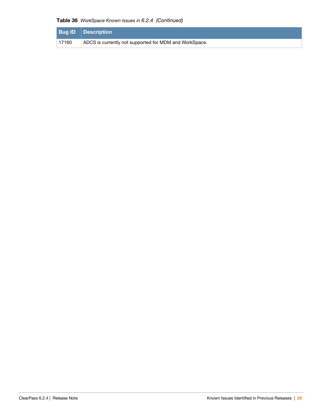#### **Table 36** WorkSpace Known Issues in 6.2.4 (Continued)

|       | <b>Bug ID Description</b>                              |
|-------|--------------------------------------------------------|
| 17160 | ADCS is currently not supported for MDM and WorkSpace. |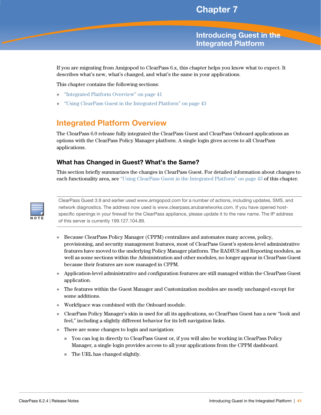# <span id="page-40-4"></span><span id="page-40-1"></span><span id="page-40-0"></span>**Introducing Guest in the Integrated Platform**

If you are migrating from Amigopod to ClearPass 6.x, this chapter helps you know what to expect. It describes what's new, what's changed, and what's the same in your applications.

This chapter contains the following sections:

- ["Integrated Platform Overview" on page 41](#page-40-2)
- ["Using ClearPass Guest in the Integrated Platform" on page 43](#page-42-0)

# <span id="page-40-2"></span>**Integrated Platform Overview**

The ClearPass 6.0 release fully integrated the ClearPass Guest and ClearPass Onboard applications as options with the ClearPass Policy Manager platform. A single login gives access to all ClearPass applications.

#### <span id="page-40-3"></span>**What has Changed in Guest? What's the Same?**

This section briefly summarizes the changes in ClearPass Guest. For detailed information about changes to each functionality area, see ["Using ClearPass Guest in the Integrated Platform" on page 43](#page-42-0) of this chapter.



ClearPass Guest 3.9 and earlier used www.amigopod.com for a number of actions, including updates, SMS, and network diagnostics. The address now used is www.clearpass.arubanetworks.com. If you have opened hostspecific openings in your firewall for the ClearPass appliance, please update it to the new name. The IP address of this server is currently 199.127.104.89.

- Because ClearPass Policy Manager (CPPM) centralizes and automates many access, policy, provisioning, and security management features, most of ClearPass Guest's system-level administrative features have moved to the underlying Policy Manager platform. The RADIUS and Reporting modules, as well as some sections within the Administration and other modules, no longer appear in ClearPass Guest because their features are now managed in CPPM.
- Application-level administrative and configuration features are still managed within the ClearPass Guest application.
- The features within the Guest Manager and Customization modules are mostly unchanged except for some additions.
- WorkSpace was combined with the Onboard module.
- ClearPass Policy Manager's skin is used for all its applications, so ClearPass Guest has a new "look and feel," including a slightly different behavior for its left navigation links.
- There are some changes to login and navigation:
	- You can log in directly to ClearPass Guest or, if you will also be working in ClearPass Policy Manager, a single login provides access to all your applications from the CPPM dashboard.
	- The URL has changed slightly.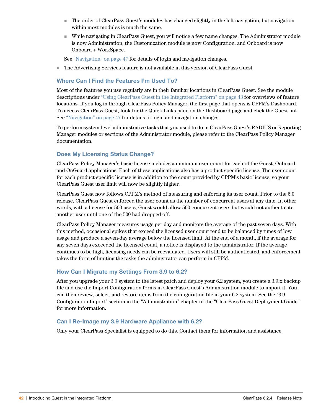- The order of ClearPass Guest's modules has changed slightly in the left navigation, but navigation within most modules is much the same.
- While navigating in ClearPass Guest, you will notice a few name changes: The Administrator module is now Administration, the Customization module is now Configuration, and Onboard is now Onboard + WorkSpace.

See ["Navigation" on page 47](#page-46-0) for details of login and navigation changes.

The Advertising Services feature is not available in this version of ClearPass Guest.

### <span id="page-41-0"></span>**Where Can I Find the Features I'm Used To?**

Most of the features you use regularly are in their familiar locations in ClearPass Guest. See the module descriptions under ["Using ClearPass Guest in the Integrated Platform" on page 43](#page-42-0) for overviews of feature locations. If you log in through ClearPass Policy Manager, the first page that opens is CPPM's Dashboard. To access ClearPass Guest, look for the Quick Links pane on the Dashboard page and click the Guest link. See ["Navigation" on page 47](#page-46-0) for details of login and navigation changes.

To perform system-level administrative tasks that you used to do in ClearPass Guest's RADIUS or Reporting Manager modules or sections of the Administrator module, please refer to the ClearPass Policy Manager documentation.

#### <span id="page-41-1"></span>**Does My Licensing Status Change?**

ClearPass Policy Manager's basic license includes a minimum user count for each of the Guest, Onboard, and OnGuard applications. Each of these applications also has a product-specific license. The user count for each product-specific license is in addition to the count provided by CPPM's basic license, so your ClearPass Guest user limit will now be slightly higher.

ClearPass Guest now follows CPPM's method of measuring and enforcing its user count. Prior to the 6.0 release, ClearPass Guest enforced the user count as the number of concurrent users at any time. In other words, with a license for 500 users, Guest would allow 500 concurrent users but would not authenticate another user until one of the 500 had dropped off.

ClearPass Policy Manager measures usage per day and monitors the average of the past seven days. With this method, occasional spikes that exceed the licensed user count tend to be balanced by times of low usage and produce a seven-day average below the licensed limit. At the end of a month, if the average for any seven days exceeded the licensed count, a notice is displayed to the administrator. If the average continues to be high, licensing needs can be reevaluated. Users will still be authenticated, and enforcement takes the form of limiting the tasks the administrator can perform in CPPM.

#### <span id="page-41-2"></span>**How Can I Migrate my Settings From 3.9 to 6.2?**

After you upgrade your 3.9 system to the latest patch and deploy your 6.2 system, you create a 3.9.x backup file and use the Import Configuration forms in ClearPass Guest's Administration module to import it. You can then review, select, and restore items from the configuration file in your 6.2 system. See the "3.9 Configuration Import" section in the "Administration" chapter of the "ClearPass Guest Deployment Guide" for more information.

#### <span id="page-41-3"></span>**Can I Re-Image my 3.9 Hardware Appliance with 6.2?**

Only your ClearPass Specialist is equipped to do this. Contact them for information and assistance.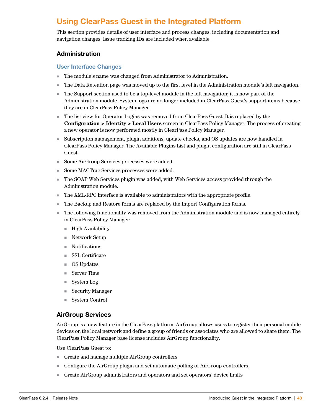# <span id="page-42-0"></span>**Using ClearPass Guest in the Integrated Platform**

This section provides details of user interface and process changes, including documentation and navigation changes. Issue tracking IDs are included when available.

### <span id="page-42-1"></span>**Administration**

#### <span id="page-42-2"></span>**User Interface Changes**

- The module's name was changed from Administrator to Administration.
- The Data Retention page was moved up to the first level in the Administration module's left navigation.
- The Support section used to be a top-level module in the left navigation; it is now part of the Administration module. System logs are no longer included in ClearPass Guest's support items because they are in ClearPass Policy Manager.
- The list view for Operator Logins was removed from ClearPass Guest. It is replaced by the **Configuration > Identity > Local Users** screen in ClearPass Policy Manager. The process of creating a new operator is now performed mostly in ClearPass Policy Manager.
- Subscription management, plugin additions, update checks, and OS updates are now handled in ClearPass Policy Manager. The Available Plugins List and plugin configuration are still in ClearPass Guest.
- Some AirGroup Services processes were added.
- Some MACTrac Services processes were added.
- The SOAP Web Services plugin was added, with Web Services access provided through the Administration module.
- The XML-RPC interface is available to administrators with the appropriate profile.
- The Backup and Restore forms are replaced by the Import Configuration forms.
- The following functionality was removed from the Administration module and is now managed entirely in ClearPass Policy Manager:
	- $\blacksquare$  High Availability
	- Network Setup
	- Notifications
	- SSL Certificate
	- OS Updates
	- Server Time
	- System Log
	- Security Manager
	- System Control

### <span id="page-42-3"></span>**AirGroup Services**

AirGroup is a new feature in the ClearPass platform. AirGroup allows users to register their personal mobile devices on the local network and define a group of friends or associates who are allowed to share them. The ClearPass Policy Manager base license includes AirGroup functionality.

Use ClearPass Guest to:

- Create and manage multiple AirGroup controllers
- Configure the AirGroup plugin and set automatic polling of AirGroup controllers,
- Create AirGroup administrators and operators and set operators' device limits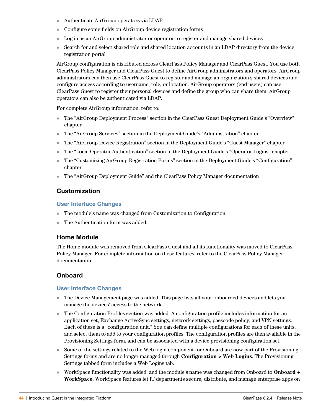- Authenticate AirGroup operators via LDAP
- Configure some fields on AirGroup device registration forms
- Log in as an AirGroup administrator or operator to register and manage shared devices
- Search for and select shared role and shared location accounts in an LDAP directory from the device registration portal

AirGroup configuration is distributed across ClearPass Policy Manager and ClearPass Guest. You use both ClearPass Policy Manager and ClearPass Guest to define AirGroup administrators and operators. AirGroup administrators can then use ClearPass Guest to register and manage an organization's shared devices and configure access according to username, role, or location. AirGroup operators (end users) can use ClearPass Guest to register their personal devices and define the group who can share them. AirGroup operators can also be authenticated via LDAP.

For complete AirGroup information, refer to:

- The "AirGroup Deployment Process" section in the ClearPass Guest Deployment Guide's "Overview" chapter
- The "AirGroup Services" section in the Deployment Guide's "Administration" chapter
- The "AirGroup Device Registration" section in the Deployment Guide's "Guest Manager" chapter
- The "Local Operator Authentication" section in the Deployment Guide's "Operator Logins" chapter
- The "Customizing AirGroup Registration Forms" section in the Deployment Guide's "Configuration" chapter
- The "AirGroup Deployment Guide" and the ClearPass Policy Manager documentation

#### <span id="page-43-0"></span>**Customization**

#### <span id="page-43-1"></span>**User Interface Changes**

- The module's name was changed from Customization to Configuration.
- The Authentication form was added.

#### <span id="page-43-2"></span>**Home Module**

The Home module was removed from ClearPass Guest and all its functionality was moved to ClearPass Policy Manager. For complete information on these features, refer to the ClearPass Policy Manager documentation.

#### <span id="page-43-3"></span>**Onboard**

#### <span id="page-43-4"></span>**User Interface Changes**

- The Device Management page was added. This page lists all your onboarded devices and lets you manage the devices' access to the network.
- The Configuration Profiles section was added. A configuration profile includes information for an application set, Exchange ActiveSync settings, network settings, passcode policy, and VPN settings. Each of these is a "configuration unit." You can define multiple configurations for each of these units, and select them to add to your configuration profiles. The configuration profiles are then available in the Provisioning Settings form, and can be associated with a device provisioning configuration set.
- Some of the settings related to the Web login component for Onboard are now part of the Provisioning Settings forms and are no longer managed through **Configuration > Web Logins**. The Provisioning Settings tabbed form includes a Web Logins tab.
- WorkSpace functionality was added, and the module's name was changed from Onboard to **Onboard + WorkSpace**. WorkSpace features let IT departments secure, distribute, and manage enterprise apps on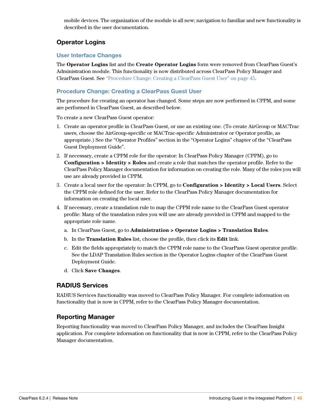mobile devices. The organization of the module is all new; navigation to familiar and new functionality is described in the user documentation.

# <span id="page-44-0"></span>**Operator Logins**

#### <span id="page-44-1"></span>**User Interface Changes**

The **Operator Logins** list and the **Create Operator Logins** form were removed from ClearPass Guest's Administration module. This functionality is now distributed across ClearPass Policy Manager and ClearPass Guest. See ["Procedure Change: Creating a ClearPass Guest User" on page 45.](#page-44-2)

#### <span id="page-44-2"></span>**Procedure Change: Creating a ClearPass Guest User**

The procedure for creating an operator has changed. Some steps are now performed in CPPM, and some are performed in ClearPass Guest, as described below.

To create a new ClearPass Guest operator:

- 1. Create an operator profile in ClearPass Guest, or use an existing one. (To create AirGroup or MACTrac users, choose the AirGroup-specific or MACTrac-specific Administrator or Operator profile, as appropriate.) See the "Operator Profiles" section in the "Operator Logins" chapter of the "ClearPass Guest Deployment Guide".
- 2. If necessary, create a CPPM role for the operator: In ClearPass Policy Manager (CPPM), go to **Configuration > Identity > Roles** and create a role that matches the operator profile. Refer to the ClearPass Policy Manager documentation for information on creating the role. Many of the roles you will use are already provided in CPPM.
- 3. Create a local user for the operator: In CPPM, go to **Configuration > Identity > Local Users**. Select the CPPM role defined for the user. Refer to the ClearPass Policy Manager documentation for information on creating the local user.
- 4. If necessary, create a translation rule to map the CPPM role name to the ClearPass Guest operator profile: Many of the translation rules you will use are already provided in CPPM and mapped to the appropriate role name.
	- a. In ClearPass Guest, go to **Administration > Operator Logins > Translation Rules**.
	- b. In the **Translation Rules** list, choose the profile, then click its **Edit** link.
	- c. Edit the fields appropriately to match the CPPM role name to the ClearPass Guest operator profile. See the LDAP Translation Rules section in the Operator Logins chapter of the ClearPass Guest Deployment Guide.
	- d. Click **Save Changes**.

#### <span id="page-44-3"></span>**RADIUS Services**

RADIUS Services functionality was moved to ClearPass Policy Manager. For complete information on functionality that is now in CPPM, refer to the ClearPass Policy Manager documentation.

### <span id="page-44-4"></span>**Reporting Manager**

Reporting functionality was moved to ClearPass Policy Manager, and includes the ClearPass Insight application. For complete information on functionality that is now in CPPM, refer to the ClearPass Policy Manager documentation.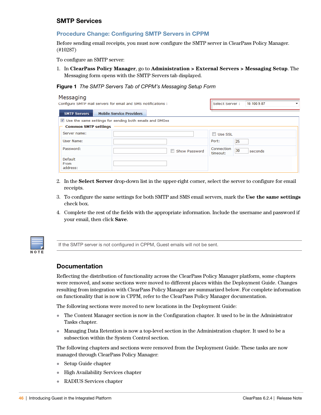#### <span id="page-45-0"></span>**SMTP Services**

#### <span id="page-45-1"></span>**Procedure Change: Configuring SMTP Servers in CPPM**

Before sending email receipts, you must now configure the SMTP server in ClearPass Policy Manager. (#10287)

To configure an SMTP server:

1. In **ClearPass Policy Manager**, go to **Administration > External Servers > Messaging Setup**. The Messaging form opens with the SMTP Servers tab displayed.

#### **Figure 1** The SMTP Servers Tab of CPPM's Messaging Setup Form

| Messaging                                                     |  |                                 |                |                                           |                        |    |         |  |
|---------------------------------------------------------------|--|---------------------------------|----------------|-------------------------------------------|------------------------|----|---------|--|
| Configure SMTP mail servers for email and SMS notifications : |  |                                 | Select Server: |                                           | 10.100.9.87            |    |         |  |
| <b>SMTP Servers</b>                                           |  | <b>Mobile Service Providers</b> |                |                                           |                        |    |         |  |
| ■ Use the same settings for sending both emails and SMSes     |  |                                 |                |                                           |                        |    |         |  |
| <b>Common SMTP settings</b>                                   |  |                                 |                |                                           |                        |    |         |  |
| Server name:                                                  |  |                                 |                |                                           | Use SSL                |    |         |  |
| User Name:                                                    |  |                                 |                |                                           | Port:                  | 25 |         |  |
| Password:                                                     |  |                                 |                | $\overline{\phantom{a}}$<br>Show Password | Connection<br>timeout: | 30 | seconds |  |
| Default<br>From<br>address:                                   |  |                                 |                |                                           |                        |    |         |  |

- 2. In the **Select Server** drop-down list in the upper-right corner, select the server to configure for email receipts.
- 3. To configure the same settings for both SMTP and SMS email servers, mark the **Use the same settings** check box.
- 4. Complete the rest of the fields with the appropriate information. Include the username and password if your email, then click **Save**.



If the SMTP server is not configured in CPPM, Guest emails will not be sent.

#### <span id="page-45-2"></span>**Documentation**

Reflecting the distribution of functionality across the ClearPass Policy Manager platform, some chapters were removed, and some sections were moved to different places within the Deployment Guide. Changes resulting from integration with ClearPass Policy Manager are summarized below. For complete information on functionality that is now in CPPM, refer to the ClearPass Policy Manager documentation.

The following sections were moved to new locations in the Deployment Guide:

- The Content Manager section is now in the Configuration chapter. It used to be in the Administrator Tasks chapter.
- Managing Data Retention is now a top-level section in the Administration chapter. It used to be a subsection within the System Control section.

The following chapters and sections were removed from the Deployment Guide. These tasks are now managed through ClearPass Policy Manager:

- Setup Guide chapter
- High Availability Services chapter
- RADIUS Services chapter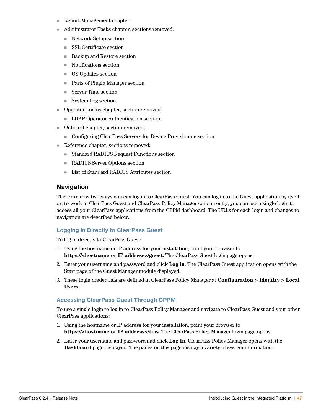- Report Management chapter
- Administrator Tasks chapter, sections removed:
	- Network Setup section
	- SSL Certificate section
	- Backup and Restore section
	- Notifications section
	- OS Updates section
	- Parts of Plugin Manager section
	- Server Time section
	- $\blacksquare$  System Log section
- Operator Logins chapter, section removed:
	- **LDAP Operator Authentication section**
- Onboard chapter, section removed:
	- Configuring ClearPass Servers for Device Provisioning section
- Reference chapter, sections removed:
	- Standard RADIUS Request Functions section
	- RADIUS Server Options section
	- List of Standard RADIUS Attributes section

#### <span id="page-46-0"></span>**Navigation**

There are now two ways you can log in to ClearPass Guest. You can log in to the Guest application by itself, or, to work in ClearPass Guest and ClearPass Policy Manager concurrently, you can use a single login to access all your ClearPass applications from the CPPM dashboard. The URLs for each login and changes to navigation are described below.

#### <span id="page-46-1"></span>**Logging in Directly to ClearPass Guest**

To log in directly to ClearPass Guest:

- 1. Using the hostname or IP address for your installation, point your browser to **https://<hostname or IP address>/guest**. The ClearPass Guest login page opens.
- 2. Enter your username and password and click **Log in**. The ClearPass Guest application opens with the Start page of the Guest Manager module displayed.
- 3. These login credentials are defined in ClearPass Policy Manager at **Configuration > Identity > Local Users**.

#### <span id="page-46-2"></span>**Accessing ClearPass Guest Through CPPM**

To use a single login to log in to ClearPass Policy Manager and navigate to ClearPass Guest and your other ClearPass applications:

- 1. Using the hostname or IP address for your installation, point your browser to **https://<hostname or IP address>/tips**. The ClearPass Policy Manager login page opens.
- 2. Enter your username and password and click **Log In**. ClearPass Policy Manager opens with the **Dashboard** page displayed. The panes on this page display a variety of system information.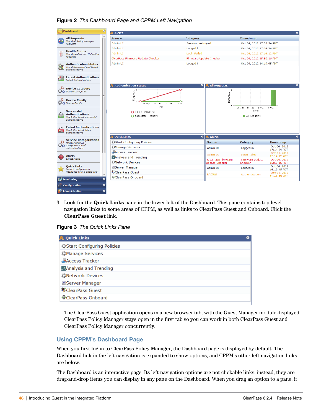#### **Figure 2** The Dashboard Page and CPPM Left Navigation

| $\odot$<br><b>Dashboard</b>                                                                   | <b>Alerts</b>                                              |                                   |                           | ๑                            |
|-----------------------------------------------------------------------------------------------|------------------------------------------------------------|-----------------------------------|---------------------------|------------------------------|
| $\blacktriangle$<br><b>All Requests</b><br><b>Soc</b>                                         | <b>Source</b>                                              | Category                          | <b>Timestamp</b>          |                              |
| <b>Trend all Policy Manager</b><br>requests                                                   | <b>Admin UI</b>                                            | <b>Session destroyed</b>          | Oct 04, 2012 17:33:54 PDT |                              |
|                                                                                               | Admin UI                                                   | Logged in                         | Oct 04, 2012 17:14:24 PDT |                              |
| <b>Health Status</b><br>Trend Healthy and Unhealthy                                           | Admin UI                                                   | <b>Login Failed</b>               | Oct 04, 2012 17:14:12 PDT |                              |
| reauests                                                                                      | ClearPass Firmware Update Checker                          | Firmware Update Checker           | Oct 04, 2012 15:50:16 PDT |                              |
| <b>Authentication Status</b><br><b>Trend Successful and Failed</b><br>authentications         | <b>Admin UI</b>                                            | Logged in                         | Oct 04, 2012 14:19:45 PDT |                              |
| <b>Latest Authentications</b><br><b>Latest Authentications</b>                                |                                                            |                                   |                           |                              |
| <b>Device Category</b><br><b>Device Categories</b>                                            | <b>Authentication Status</b><br>1<br>Requests              | ۰<br><b>All Requests</b><br>$1 -$ |                           | $\bullet$                    |
| <b>Device Family</b><br><b>Device Family</b>                                                  | 28-Sep<br>30-Sep<br>$2-0$ ct<br>Time                       | Requests<br>$4-0ct$               | 30-Sep 2-Oct<br>28-Sep    | $4-0ct$                      |
| <b>Successful</b><br><b>Authentications</b><br>Track the latest successful<br>authentications | O [Failed Requests]<br><b>O</b> -[Successful Requests]     |                                   | Time<br>[All Requests]    |                              |
| <b>Failed Authentications</b><br><b>Track the latest failed</b><br>authentications            |                                                            |                                   |                           |                              |
| <b>Service Categorization</b>                                                                 | <b>Quick Links</b>                                         | $\bullet$<br><b>A</b> Alerts      |                           | ø                            |
| <b>Monitor Service</b><br>Categorization of                                                   | Start Configuring Policies                                 | <b>Source</b>                     | Category                  | <b>Timestamp</b>             |
| authentications                                                                               | <b><i>AManage Services</i></b>                             | <b>Admin UI</b>                   | Logged in                 | Oct 04, 2012<br>17:14:24 PDT |
| <b>Alerts</b>                                                                                 | Access Tracker                                             | Admin UT                          | Login Failed              | Oct 04, 2012<br>17:14:12 PDT |
| <b>Latest Alerts</b>                                                                          | MAnalysis and Trending                                     | <b>ClearPass Firmware</b>         | <b>Firmware Update</b>    | Oct 04, 2012                 |
| <b>Quick Links</b>                                                                            | <b><i><u><i><u><b>W</b>Network</u></i></u></i></b> Devices | <b>Update Checker</b>             | Checker                   | 15:50:16 PDT<br>Oct 04, 2012 |
| Launch configuration<br>interfaces with a single click                                        | <b>B</b> Server Manager                                    | <b>Admin UI</b>                   | Logged in                 | 14:19:45 PDT                 |
|                                                                                               | <b>WClearPass Guest</b>                                    | <b>RADIUS</b>                     | Authentication            | Oct 04, 2012<br>11:44:49 PDT |
| $\bullet$<br>冋<br><b>Monitoring</b>                                                           | ClearPass Onboard                                          |                                   |                           |                              |
| <b>Configuration</b>                                                                          |                                                            |                                   |                           |                              |
| <b>Administration</b><br>0                                                                    |                                                            |                                   |                           |                              |

3. Look for the **Quick Links** pane in the lower left of the Dashboard. This pane contains top-level navigation links to some areas of CPPM, as well as links to ClearPass Guest and Onboard. Click the **ClearPass Guest** link.



| <b>A</b> Quick Links                          | ∞ |
|-----------------------------------------------|---|
| Start Configuring Policies                    |   |
| <b><i>AManage Services</i></b>                |   |
| <b>Access Tracker</b>                         |   |
| <b>AAnalysis and Trending</b>                 |   |
| <b><i><u><i>X</i></u></i></b> Network Devices |   |
| <b>A</b> Server Manager                       |   |
| <b>W</b> ClearPass Guest                      |   |
| ClearPass Onboard                             |   |

The ClearPass Guest application opens in a new browser tab, with the Guest Manager module displayed. ClearPass Policy Manager stays open in the first tab so you can work in both ClearPass Guest and ClearPass Policy Manager concurrently.

#### <span id="page-47-0"></span>**Using CPPM's Dashboard Page**

When you first log in to ClearPass Policy Manager, the Dashboard page is displayed by default. The Dashboard link in the left navigation is expanded to show options, and CPPM's other left-navigation links are below.

The Dashboard is an interactive page: Its left-navigation options are not clickable links; instead, they are drag-and-drop items you can display in any pane on the Dashboard. When you drag an option to a pane, it